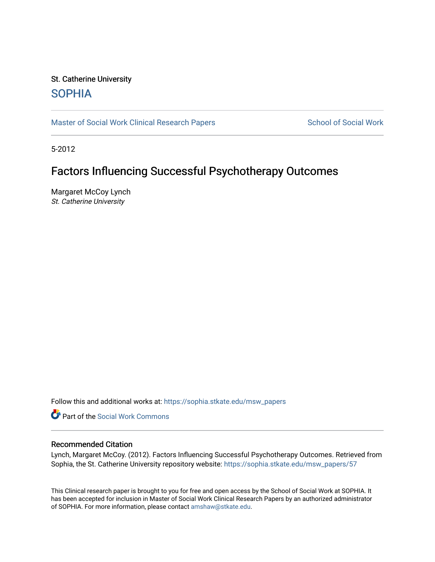# St. Catherine University [SOPHIA](https://sophia.stkate.edu/)

[Master of Social Work Clinical Research Papers](https://sophia.stkate.edu/msw_papers) School of Social Work

5-2012

# Factors Influencing Successful Psychotherapy Outcomes

Margaret McCoy Lynch St. Catherine University

Follow this and additional works at: [https://sophia.stkate.edu/msw\\_papers](https://sophia.stkate.edu/msw_papers?utm_source=sophia.stkate.edu%2Fmsw_papers%2F57&utm_medium=PDF&utm_campaign=PDFCoverPages) 

Part of the [Social Work Commons](http://network.bepress.com/hgg/discipline/713?utm_source=sophia.stkate.edu%2Fmsw_papers%2F57&utm_medium=PDF&utm_campaign=PDFCoverPages)

## Recommended Citation

Lynch, Margaret McCoy. (2012). Factors Influencing Successful Psychotherapy Outcomes. Retrieved from Sophia, the St. Catherine University repository website: [https://sophia.stkate.edu/msw\\_papers/57](https://sophia.stkate.edu/msw_papers/57?utm_source=sophia.stkate.edu%2Fmsw_papers%2F57&utm_medium=PDF&utm_campaign=PDFCoverPages) 

This Clinical research paper is brought to you for free and open access by the School of Social Work at SOPHIA. It has been accepted for inclusion in Master of Social Work Clinical Research Papers by an authorized administrator of SOPHIA. For more information, please contact [amshaw@stkate.edu.](mailto:amshaw@stkate.edu)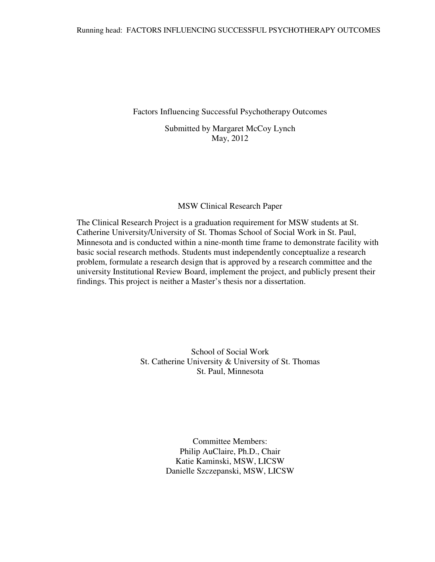Factors Influencing Successful Psychotherapy Outcomes

Submitted by Margaret McCoy Lynch May, 2012

## MSW Clinical Research Paper

The Clinical Research Project is a graduation requirement for MSW students at St. Catherine University/University of St. Thomas School of Social Work in St. Paul, Minnesota and is conducted within a nine-month time frame to demonstrate facility with basic social research methods. Students must independently conceptualize a research problem, formulate a research design that is approved by a research committee and the university Institutional Review Board, implement the project, and publicly present their findings. This project is neither a Master's thesis nor a dissertation.

> School of Social Work St. Catherine University & University of St. Thomas St. Paul, Minnesota

> > Committee Members: Philip AuClaire, Ph.D., Chair Katie Kaminski, MSW, LICSW Danielle Szczepanski, MSW, LICSW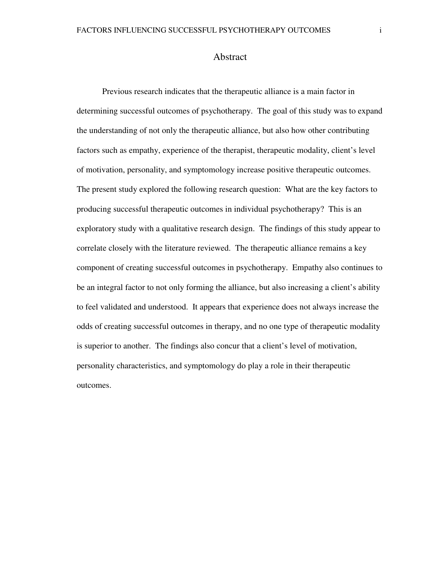## Abstract

 Previous research indicates that the therapeutic alliance is a main factor in determining successful outcomes of psychotherapy. The goal of this study was to expand the understanding of not only the therapeutic alliance, but also how other contributing factors such as empathy, experience of the therapist, therapeutic modality, client's level of motivation, personality, and symptomology increase positive therapeutic outcomes. The present study explored the following research question: What are the key factors to producing successful therapeutic outcomes in individual psychotherapy? This is an exploratory study with a qualitative research design. The findings of this study appear to correlate closely with the literature reviewed. The therapeutic alliance remains a key component of creating successful outcomes in psychotherapy. Empathy also continues to be an integral factor to not only forming the alliance, but also increasing a client's ability to feel validated and understood. It appears that experience does not always increase the odds of creating successful outcomes in therapy, and no one type of therapeutic modality is superior to another. The findings also concur that a client's level of motivation, personality characteristics, and symptomology do play a role in their therapeutic outcomes.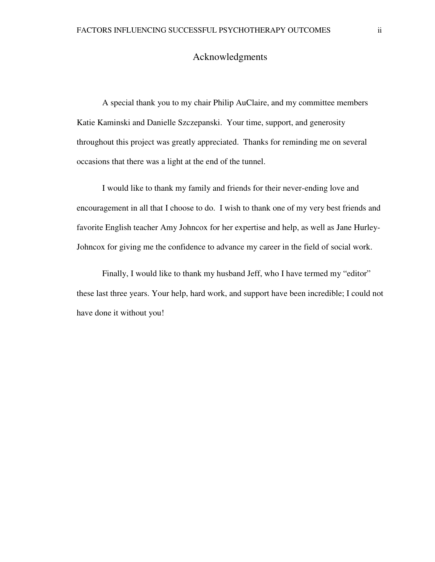## Acknowledgments

 A special thank you to my chair Philip AuClaire, and my committee members Katie Kaminski and Danielle Szczepanski. Your time, support, and generosity throughout this project was greatly appreciated. Thanks for reminding me on several occasions that there was a light at the end of the tunnel.

 I would like to thank my family and friends for their never-ending love and encouragement in all that I choose to do. I wish to thank one of my very best friends and favorite English teacher Amy Johncox for her expertise and help, as well as Jane Hurley-Johncox for giving me the confidence to advance my career in the field of social work.

Finally, I would like to thank my husband Jeff, who I have termed my "editor" these last three years. Your help, hard work, and support have been incredible; I could not have done it without you!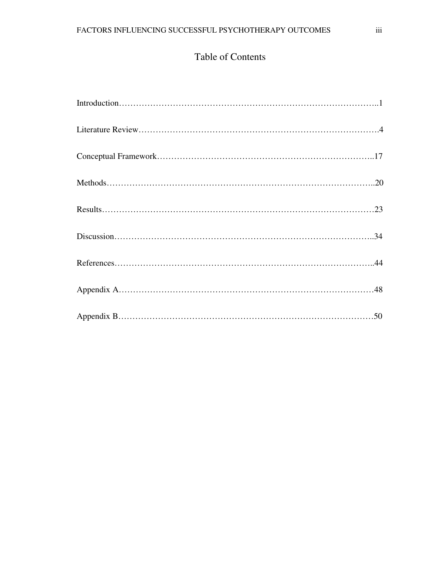# Table of Contents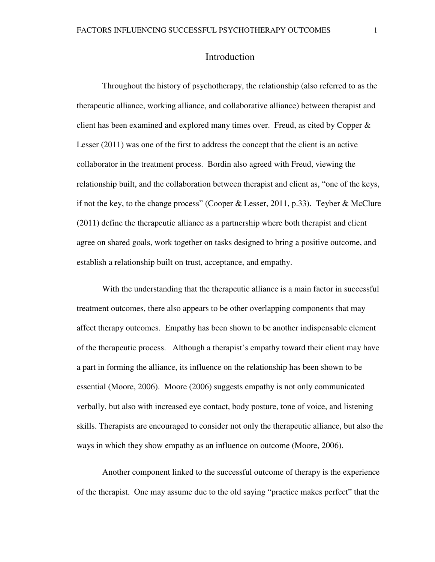## Introduction

 Throughout the history of psychotherapy, the relationship (also referred to as the therapeutic alliance, working alliance, and collaborative alliance) between therapist and client has been examined and explored many times over. Freud, as cited by Copper & Lesser (2011) was one of the first to address the concept that the client is an active collaborator in the treatment process. Bordin also agreed with Freud, viewing the relationship built, and the collaboration between therapist and client as, "one of the keys, if not the key, to the change process" (Cooper & Lesser, 2011, p.33). Teyber & McClure (2011) define the therapeutic alliance as a partnership where both therapist and client agree on shared goals, work together on tasks designed to bring a positive outcome, and establish a relationship built on trust, acceptance, and empathy.

 With the understanding that the therapeutic alliance is a main factor in successful treatment outcomes, there also appears to be other overlapping components that may affect therapy outcomes. Empathy has been shown to be another indispensable element of the therapeutic process. Although a therapist's empathy toward their client may have a part in forming the alliance, its influence on the relationship has been shown to be essential (Moore, 2006). Moore (2006) suggests empathy is not only communicated verbally, but also with increased eye contact, body posture, tone of voice, and listening skills. Therapists are encouraged to consider not only the therapeutic alliance, but also the ways in which they show empathy as an influence on outcome (Moore, 2006).

 Another component linked to the successful outcome of therapy is the experience of the therapist. One may assume due to the old saying "practice makes perfect" that the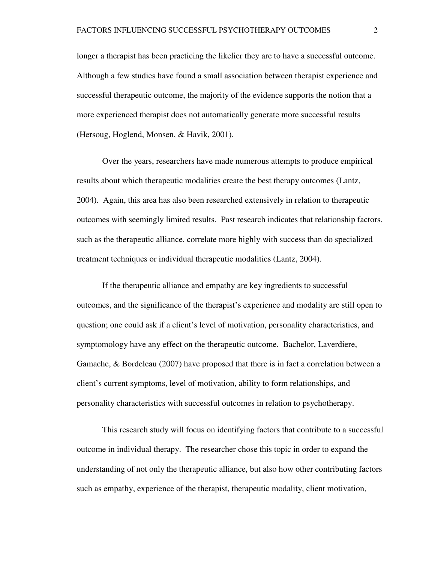longer a therapist has been practicing the likelier they are to have a successful outcome. Although a few studies have found a small association between therapist experience and successful therapeutic outcome, the majority of the evidence supports the notion that a more experienced therapist does not automatically generate more successful results (Hersoug, Hoglend, Monsen, & Havik, 2001).

 Over the years, researchers have made numerous attempts to produce empirical results about which therapeutic modalities create the best therapy outcomes (Lantz, 2004). Again, this area has also been researched extensively in relation to therapeutic outcomes with seemingly limited results. Past research indicates that relationship factors, such as the therapeutic alliance, correlate more highly with success than do specialized treatment techniques or individual therapeutic modalities (Lantz, 2004).

 If the therapeutic alliance and empathy are key ingredients to successful outcomes, and the significance of the therapist's experience and modality are still open to question; one could ask if a client's level of motivation, personality characteristics, and symptomology have any effect on the therapeutic outcome. Bachelor, Laverdiere, Gamache, & Bordeleau (2007) have proposed that there is in fact a correlation between a client's current symptoms, level of motivation, ability to form relationships, and personality characteristics with successful outcomes in relation to psychotherapy.

 This research study will focus on identifying factors that contribute to a successful outcome in individual therapy. The researcher chose this topic in order to expand the understanding of not only the therapeutic alliance, but also how other contributing factors such as empathy, experience of the therapist, therapeutic modality, client motivation,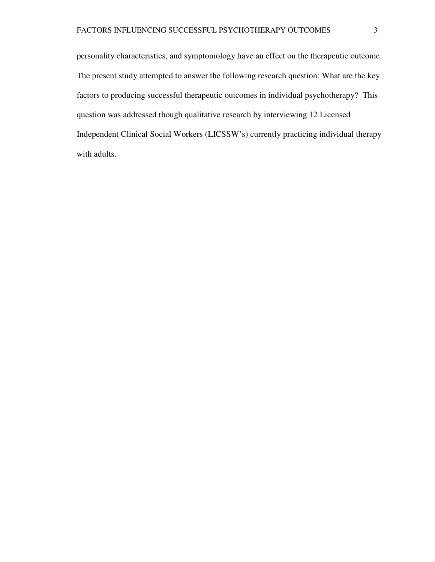personality characteristics, and symptomology have an effect on the therapeutic outcome. The present study attempted to answer the following research question: What are the key factors to producing successful therapeutic outcomes in individual psychotherapy? This question was addressed though qualitative research by interviewing 12 Licensed Independent Clinical Social Workers (LICSSW's) currently practicing individual therapy with adults.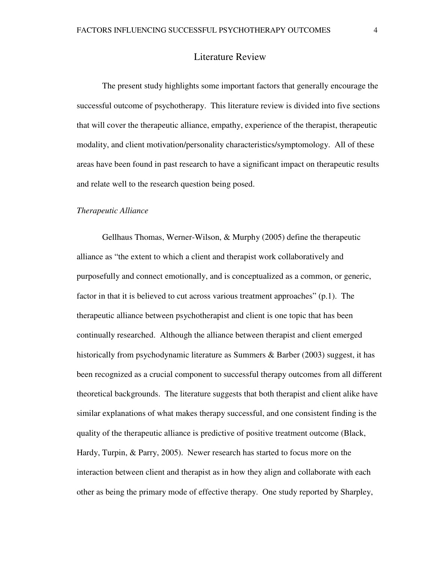## Literature Review

 The present study highlights some important factors that generally encourage the successful outcome of psychotherapy. This literature review is divided into five sections that will cover the therapeutic alliance, empathy, experience of the therapist, therapeutic modality, and client motivation/personality characteristics/symptomology. All of these areas have been found in past research to have a significant impact on therapeutic results and relate well to the research question being posed.

#### *Therapeutic Alliance*

 Gellhaus Thomas, Werner-Wilson, & Murphy (2005) define the therapeutic alliance as "the extent to which a client and therapist work collaboratively and purposefully and connect emotionally, and is conceptualized as a common, or generic, factor in that it is believed to cut across various treatment approaches" (p.1). The therapeutic alliance between psychotherapist and client is one topic that has been continually researched. Although the alliance between therapist and client emerged historically from psychodynamic literature as Summers & Barber (2003) suggest, it has been recognized as a crucial component to successful therapy outcomes from all different theoretical backgrounds. The literature suggests that both therapist and client alike have similar explanations of what makes therapy successful, and one consistent finding is the quality of the therapeutic alliance is predictive of positive treatment outcome (Black, Hardy, Turpin, & Parry, 2005). Newer research has started to focus more on the interaction between client and therapist as in how they align and collaborate with each other as being the primary mode of effective therapy. One study reported by Sharpley,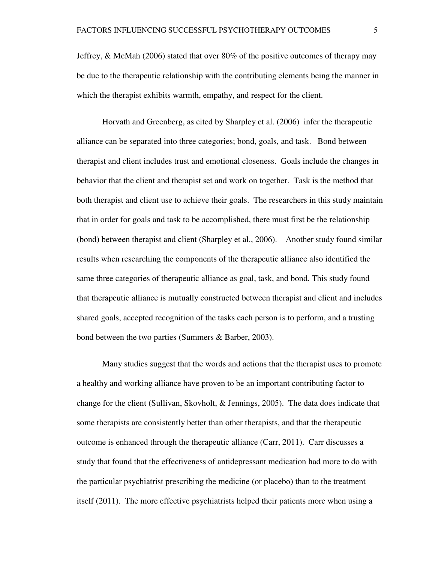Jeffrey, & McMah (2006) stated that over 80% of the positive outcomes of therapy may be due to the therapeutic relationship with the contributing elements being the manner in which the therapist exhibits warmth, empathy, and respect for the client.

 Horvath and Greenberg, as cited by Sharpley et al. (2006) infer the therapeutic alliance can be separated into three categories; bond, goals, and task. Bond between therapist and client includes trust and emotional closeness. Goals include the changes in behavior that the client and therapist set and work on together. Task is the method that both therapist and client use to achieve their goals. The researchers in this study maintain that in order for goals and task to be accomplished, there must first be the relationship (bond) between therapist and client (Sharpley et al., 2006). Another study found similar results when researching the components of the therapeutic alliance also identified the same three categories of therapeutic alliance as goal, task, and bond. This study found that therapeutic alliance is mutually constructed between therapist and client and includes shared goals, accepted recognition of the tasks each person is to perform, and a trusting bond between the two parties (Summers & Barber, 2003).

 Many studies suggest that the words and actions that the therapist uses to promote a healthy and working alliance have proven to be an important contributing factor to change for the client (Sullivan, Skovholt, & Jennings, 2005). The data does indicate that some therapists are consistently better than other therapists, and that the therapeutic outcome is enhanced through the therapeutic alliance (Carr, 2011). Carr discusses a study that found that the effectiveness of antidepressant medication had more to do with the particular psychiatrist prescribing the medicine (or placebo) than to the treatment itself (2011). The more effective psychiatrists helped their patients more when using a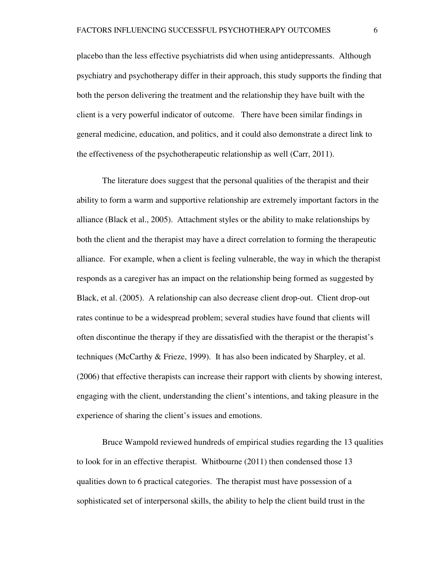placebo than the less effective psychiatrists did when using antidepressants. Although psychiatry and psychotherapy differ in their approach, this study supports the finding that both the person delivering the treatment and the relationship they have built with the client is a very powerful indicator of outcome. There have been similar findings in general medicine, education, and politics, and it could also demonstrate a direct link to the effectiveness of the psychotherapeutic relationship as well (Carr, 2011).

 The literature does suggest that the personal qualities of the therapist and their ability to form a warm and supportive relationship are extremely important factors in the alliance (Black et al., 2005). Attachment styles or the ability to make relationships by both the client and the therapist may have a direct correlation to forming the therapeutic alliance. For example, when a client is feeling vulnerable, the way in which the therapist responds as a caregiver has an impact on the relationship being formed as suggested by Black, et al. (2005). A relationship can also decrease client drop-out. Client drop-out rates continue to be a widespread problem; several studies have found that clients will often discontinue the therapy if they are dissatisfied with the therapist or the therapist's techniques (McCarthy & Frieze, 1999). It has also been indicated by Sharpley, et al. (2006) that effective therapists can increase their rapport with clients by showing interest, engaging with the client, understanding the client's intentions, and taking pleasure in the experience of sharing the client's issues and emotions.

 Bruce Wampold reviewed hundreds of empirical studies regarding the 13 qualities to look for in an effective therapist. Whitbourne (2011) then condensed those 13 qualities down to 6 practical categories. The therapist must have possession of a sophisticated set of interpersonal skills, the ability to help the client build trust in the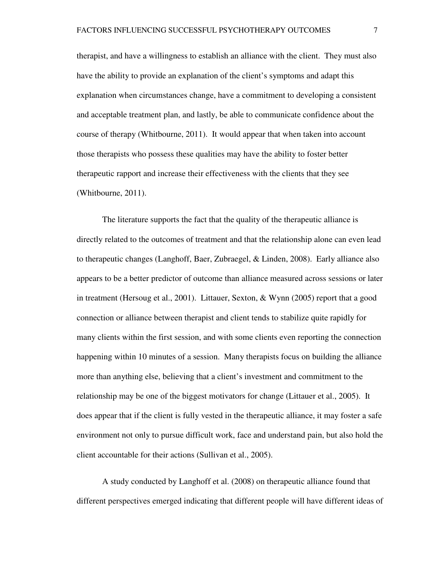therapist, and have a willingness to establish an alliance with the client. They must also have the ability to provide an explanation of the client's symptoms and adapt this explanation when circumstances change, have a commitment to developing a consistent and acceptable treatment plan, and lastly, be able to communicate confidence about the course of therapy (Whitbourne, 2011). It would appear that when taken into account those therapists who possess these qualities may have the ability to foster better therapeutic rapport and increase their effectiveness with the clients that they see (Whitbourne, 2011).

 The literature supports the fact that the quality of the therapeutic alliance is directly related to the outcomes of treatment and that the relationship alone can even lead to therapeutic changes (Langhoff, Baer, Zubraegel, & Linden, 2008). Early alliance also appears to be a better predictor of outcome than alliance measured across sessions or later in treatment (Hersoug et al., 2001). Littauer, Sexton, & Wynn (2005) report that a good connection or alliance between therapist and client tends to stabilize quite rapidly for many clients within the first session, and with some clients even reporting the connection happening within 10 minutes of a session. Many therapists focus on building the alliance more than anything else, believing that a client's investment and commitment to the relationship may be one of the biggest motivators for change (Littauer et al., 2005). It does appear that if the client is fully vested in the therapeutic alliance, it may foster a safe environment not only to pursue difficult work, face and understand pain, but also hold the client accountable for their actions (Sullivan et al., 2005).

 A study conducted by Langhoff et al. (2008) on therapeutic alliance found that different perspectives emerged indicating that different people will have different ideas of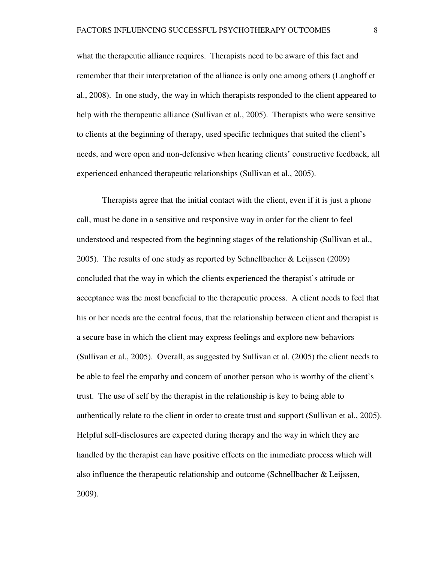what the therapeutic alliance requires. Therapists need to be aware of this fact and remember that their interpretation of the alliance is only one among others (Langhoff et al., 2008). In one study, the way in which therapists responded to the client appeared to help with the therapeutic alliance (Sullivan et al., 2005). Therapists who were sensitive to clients at the beginning of therapy, used specific techniques that suited the client's needs, and were open and non-defensive when hearing clients' constructive feedback, all experienced enhanced therapeutic relationships (Sullivan et al., 2005).

Therapists agree that the initial contact with the client, even if it is just a phone call, must be done in a sensitive and responsive way in order for the client to feel understood and respected from the beginning stages of the relationship (Sullivan et al., 2005). The results of one study as reported by Schnellbacher & Leijssen (2009) concluded that the way in which the clients experienced the therapist's attitude or acceptance was the most beneficial to the therapeutic process. A client needs to feel that his or her needs are the central focus, that the relationship between client and therapist is a secure base in which the client may express feelings and explore new behaviors (Sullivan et al., 2005). Overall, as suggested by Sullivan et al. (2005) the client needs to be able to feel the empathy and concern of another person who is worthy of the client's trust. The use of self by the therapist in the relationship is key to being able to authentically relate to the client in order to create trust and support (Sullivan et al., 2005). Helpful self-disclosures are expected during therapy and the way in which they are handled by the therapist can have positive effects on the immediate process which will also influence the therapeutic relationship and outcome (Schnellbacher & Leijssen, 2009).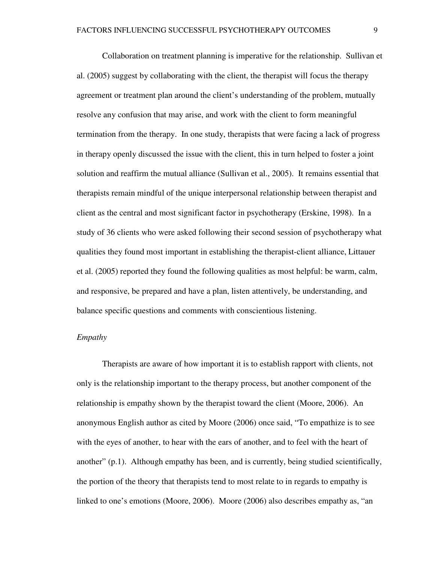Collaboration on treatment planning is imperative for the relationship. Sullivan et al. (2005) suggest by collaborating with the client, the therapist will focus the therapy agreement or treatment plan around the client's understanding of the problem, mutually resolve any confusion that may arise, and work with the client to form meaningful termination from the therapy. In one study, therapists that were facing a lack of progress in therapy openly discussed the issue with the client, this in turn helped to foster a joint solution and reaffirm the mutual alliance (Sullivan et al., 2005). It remains essential that therapists remain mindful of the unique interpersonal relationship between therapist and client as the central and most significant factor in psychotherapy (Erskine, 1998). In a study of 36 clients who were asked following their second session of psychotherapy what qualities they found most important in establishing the therapist-client alliance, Littauer et al. (2005) reported they found the following qualities as most helpful: be warm, calm, and responsive, be prepared and have a plan, listen attentively, be understanding, and balance specific questions and comments with conscientious listening.

#### *Empathy*

 Therapists are aware of how important it is to establish rapport with clients, not only is the relationship important to the therapy process, but another component of the relationship is empathy shown by the therapist toward the client (Moore, 2006). An anonymous English author as cited by Moore (2006) once said, "To empathize is to see with the eyes of another, to hear with the ears of another, and to feel with the heart of another" (p.1). Although empathy has been, and is currently, being studied scientifically, the portion of the theory that therapists tend to most relate to in regards to empathy is linked to one's emotions (Moore, 2006). Moore (2006) also describes empathy as, "an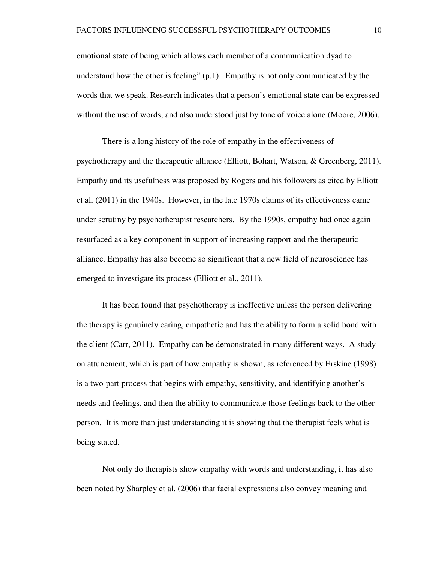emotional state of being which allows each member of a communication dyad to understand how the other is feeling"  $(p,1)$ . Empathy is not only communicated by the words that we speak. Research indicates that a person's emotional state can be expressed without the use of words, and also understood just by tone of voice alone (Moore, 2006).

 There is a long history of the role of empathy in the effectiveness of psychotherapy and the therapeutic alliance (Elliott, Bohart, Watson, & Greenberg, 2011). Empathy and its usefulness was proposed by Rogers and his followers as cited by Elliott et al. (2011) in the 1940s. However, in the late 1970s claims of its effectiveness came under scrutiny by psychotherapist researchers. By the 1990s, empathy had once again resurfaced as a key component in support of increasing rapport and the therapeutic alliance. Empathy has also become so significant that a new field of neuroscience has emerged to investigate its process (Elliott et al., 2011).

 It has been found that psychotherapy is ineffective unless the person delivering the therapy is genuinely caring, empathetic and has the ability to form a solid bond with the client (Carr, 2011). Empathy can be demonstrated in many different ways. A study on attunement, which is part of how empathy is shown, as referenced by Erskine (1998) is a two-part process that begins with empathy, sensitivity, and identifying another's needs and feelings, and then the ability to communicate those feelings back to the other person. It is more than just understanding it is showing that the therapist feels what is being stated.

 Not only do therapists show empathy with words and understanding, it has also been noted by Sharpley et al. (2006) that facial expressions also convey meaning and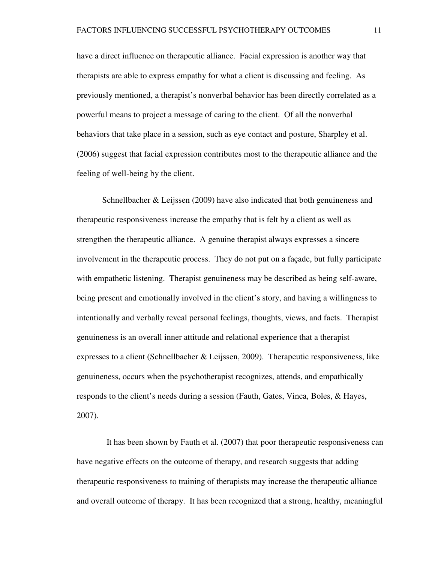have a direct influence on therapeutic alliance. Facial expression is another way that therapists are able to express empathy for what a client is discussing and feeling. As previously mentioned, a therapist's nonverbal behavior has been directly correlated as a powerful means to project a message of caring to the client. Of all the nonverbal behaviors that take place in a session, such as eye contact and posture, Sharpley et al. (2006) suggest that facial expression contributes most to the therapeutic alliance and the feeling of well-being by the client.

Schnellbacher & Leijssen (2009) have also indicated that both genuineness and therapeutic responsiveness increase the empathy that is felt by a client as well as strengthen the therapeutic alliance. A genuine therapist always expresses a sincere involvement in the therapeutic process. They do not put on a façade, but fully participate with empathetic listening. Therapist genuineness may be described as being self-aware, being present and emotionally involved in the client's story, and having a willingness to intentionally and verbally reveal personal feelings, thoughts, views, and facts. Therapist genuineness is an overall inner attitude and relational experience that a therapist expresses to a client (Schnellbacher & Leijssen, 2009). Therapeutic responsiveness, like genuineness, occurs when the psychotherapist recognizes, attends, and empathically responds to the client's needs during a session (Fauth, Gates, Vinca, Boles, & Hayes, 2007).

 It has been shown by Fauth et al. (2007) that poor therapeutic responsiveness can have negative effects on the outcome of therapy, and research suggests that adding therapeutic responsiveness to training of therapists may increase the therapeutic alliance and overall outcome of therapy. It has been recognized that a strong, healthy, meaningful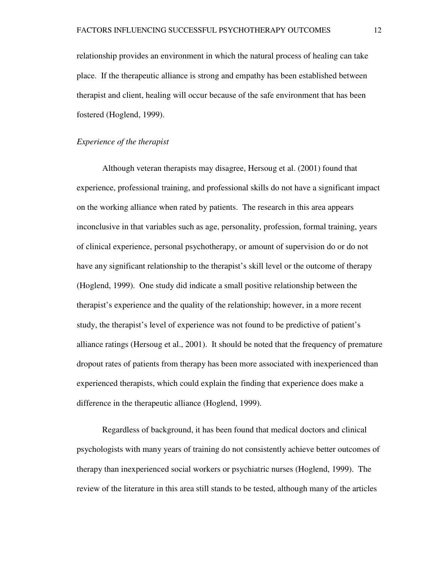relationship provides an environment in which the natural process of healing can take place. If the therapeutic alliance is strong and empathy has been established between therapist and client, healing will occur because of the safe environment that has been fostered (Hoglend, 1999).

## *Experience of the therapist*

Although veteran therapists may disagree, Hersoug et al. (2001) found that experience, professional training, and professional skills do not have a significant impact on the working alliance when rated by patients. The research in this area appears inconclusive in that variables such as age, personality, profession, formal training, years of clinical experience, personal psychotherapy, or amount of supervision do or do not have any significant relationship to the therapist's skill level or the outcome of therapy (Hoglend, 1999). One study did indicate a small positive relationship between the therapist's experience and the quality of the relationship; however, in a more recent study, the therapist's level of experience was not found to be predictive of patient's alliance ratings (Hersoug et al., 2001). It should be noted that the frequency of premature dropout rates of patients from therapy has been more associated with inexperienced than experienced therapists, which could explain the finding that experience does make a difference in the therapeutic alliance (Hoglend, 1999).

 Regardless of background, it has been found that medical doctors and clinical psychologists with many years of training do not consistently achieve better outcomes of therapy than inexperienced social workers or psychiatric nurses (Hoglend, 1999). The review of the literature in this area still stands to be tested, although many of the articles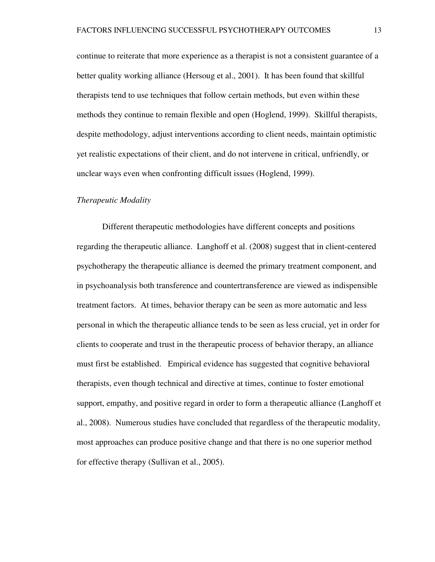continue to reiterate that more experience as a therapist is not a consistent guarantee of a better quality working alliance (Hersoug et al., 2001). It has been found that skillful therapists tend to use techniques that follow certain methods, but even within these methods they continue to remain flexible and open (Hoglend, 1999). Skillful therapists, despite methodology, adjust interventions according to client needs, maintain optimistic yet realistic expectations of their client, and do not intervene in critical, unfriendly, or unclear ways even when confronting difficult issues (Hoglend, 1999).

#### *Therapeutic Modality*

 Different therapeutic methodologies have different concepts and positions regarding the therapeutic alliance. Langhoff et al. (2008) suggest that in client-centered psychotherapy the therapeutic alliance is deemed the primary treatment component, and in psychoanalysis both transference and countertransference are viewed as indispensible treatment factors. At times, behavior therapy can be seen as more automatic and less personal in which the therapeutic alliance tends to be seen as less crucial, yet in order for clients to cooperate and trust in the therapeutic process of behavior therapy, an alliance must first be established. Empirical evidence has suggested that cognitive behavioral therapists, even though technical and directive at times, continue to foster emotional support, empathy, and positive regard in order to form a therapeutic alliance (Langhoff et al., 2008). Numerous studies have concluded that regardless of the therapeutic modality, most approaches can produce positive change and that there is no one superior method for effective therapy (Sullivan et al., 2005).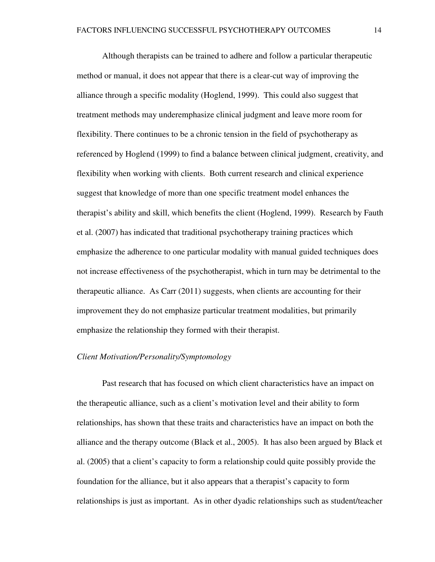Although therapists can be trained to adhere and follow a particular therapeutic method or manual, it does not appear that there is a clear-cut way of improving the alliance through a specific modality (Hoglend, 1999). This could also suggest that treatment methods may underemphasize clinical judgment and leave more room for flexibility. There continues to be a chronic tension in the field of psychotherapy as referenced by Hoglend (1999) to find a balance between clinical judgment, creativity, and flexibility when working with clients. Both current research and clinical experience suggest that knowledge of more than one specific treatment model enhances the therapist's ability and skill, which benefits the client (Hoglend, 1999). Research by Fauth et al. (2007) has indicated that traditional psychotherapy training practices which emphasize the adherence to one particular modality with manual guided techniques does not increase effectiveness of the psychotherapist, which in turn may be detrimental to the therapeutic alliance. As Carr (2011) suggests, when clients are accounting for their improvement they do not emphasize particular treatment modalities, but primarily emphasize the relationship they formed with their therapist.

## *Client Motivation/Personality/Symptomology*

 Past research that has focused on which client characteristics have an impact on the therapeutic alliance, such as a client's motivation level and their ability to form relationships, has shown that these traits and characteristics have an impact on both the alliance and the therapy outcome (Black et al., 2005). It has also been argued by Black et al. (2005) that a client's capacity to form a relationship could quite possibly provide the foundation for the alliance, but it also appears that a therapist's capacity to form relationships is just as important. As in other dyadic relationships such as student/teacher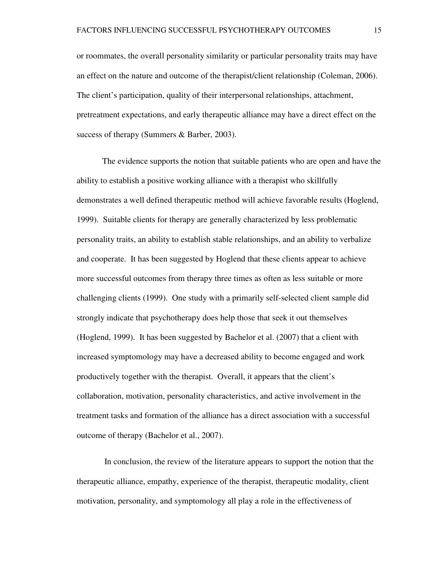or roommates, the overall personality similarity or particular personality traits may have an effect on the nature and outcome of the therapist/client relationship (Coleman, 2006). The client's participation, quality of their interpersonal relationships, attachment, pretreatment expectations, and early therapeutic alliance may have a direct effect on the success of therapy (Summers & Barber, 2003).

The evidence supports the notion that suitable patients who are open and have the ability to establish a positive working alliance with a therapist who skillfully demonstrates a well defined therapeutic method will achieve favorable results (Hoglend, 1999). Suitable clients for therapy are generally characterized by less problematic personality traits, an ability to establish stable relationships, and an ability to verbalize and cooperate. It has been suggested by Hoglend that these clients appear to achieve more successful outcomes from therapy three times as often as less suitable or more challenging clients (1999). One study with a primarily self-selected client sample did strongly indicate that psychotherapy does help those that seek it out themselves (Hoglend, 1999). It has been suggested by Bachelor et al. (2007) that a client with increased symptomology may have a decreased ability to become engaged and work productively together with the therapist. Overall, it appears that the client's collaboration, motivation, personality characteristics, and active involvement in the treatment tasks and formation of the alliance has a direct association with a successful outcome of therapy (Bachelor et al., 2007).

 In conclusion, the review of the literature appears to support the notion that the therapeutic alliance, empathy, experience of the therapist, therapeutic modality, client motivation, personality, and symptomology all play a role in the effectiveness of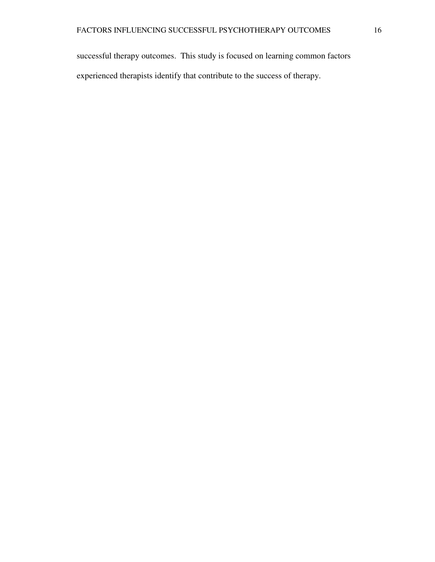successful therapy outcomes. This study is focused on learning common factors experienced therapists identify that contribute to the success of therapy.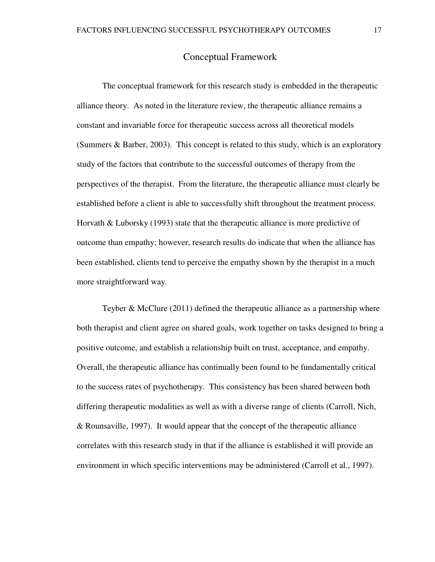## Conceptual Framework

 The conceptual framework for this research study is embedded in the therapeutic alliance theory. As noted in the literature review, the therapeutic alliance remains a constant and invariable force for therapeutic success across all theoretical models (Summers & Barber, 2003). This concept is related to this study, which is an exploratory study of the factors that contribute to the successful outcomes of therapy from the perspectives of the therapist. From the literature, the therapeutic alliance must clearly be established before a client is able to successfully shift throughout the treatment process. Horvath & Luborsky (1993) state that the therapeutic alliance is more predictive of outcome than empathy; however, research results do indicate that when the alliance has been established, clients tend to perceive the empathy shown by the therapist in a much more straightforward way.

 Teyber & McClure (2011) defined the therapeutic alliance as a partnership where both therapist and client agree on shared goals, work together on tasks designed to bring a positive outcome, and establish a relationship built on trust, acceptance, and empathy. Overall, the therapeutic alliance has continually been found to be fundamentally critical to the success rates of psychotherapy. This consistency has been shared between both differing therapeutic modalities as well as with a diverse range of clients (Carroll, Nich, & Rounsaville, 1997). It would appear that the concept of the therapeutic alliance correlates with this research study in that if the alliance is established it will provide an environment in which specific interventions may be administered (Carroll et al., 1997).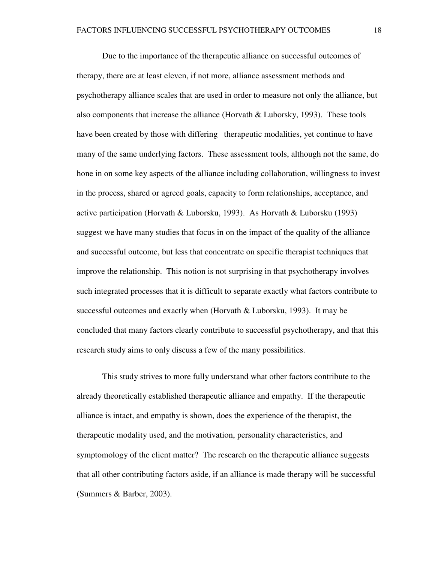Due to the importance of the therapeutic alliance on successful outcomes of therapy, there are at least eleven, if not more, alliance assessment methods and psychotherapy alliance scales that are used in order to measure not only the alliance, but also components that increase the alliance (Horvath & Luborsky, 1993). These tools have been created by those with differing therapeutic modalities, yet continue to have many of the same underlying factors. These assessment tools, although not the same, do hone in on some key aspects of the alliance including collaboration, willingness to invest in the process, shared or agreed goals, capacity to form relationships, acceptance, and active participation (Horvath & Luborsku, 1993). As Horvath & Luborsku (1993) suggest we have many studies that focus in on the impact of the quality of the alliance and successful outcome, but less that concentrate on specific therapist techniques that improve the relationship. This notion is not surprising in that psychotherapy involves such integrated processes that it is difficult to separate exactly what factors contribute to successful outcomes and exactly when (Horvath & Luborsku, 1993). It may be concluded that many factors clearly contribute to successful psychotherapy, and that this research study aims to only discuss a few of the many possibilities.

 This study strives to more fully understand what other factors contribute to the already theoretically established therapeutic alliance and empathy. If the therapeutic alliance is intact, and empathy is shown, does the experience of the therapist, the therapeutic modality used, and the motivation, personality characteristics, and symptomology of the client matter? The research on the therapeutic alliance suggests that all other contributing factors aside, if an alliance is made therapy will be successful (Summers & Barber, 2003).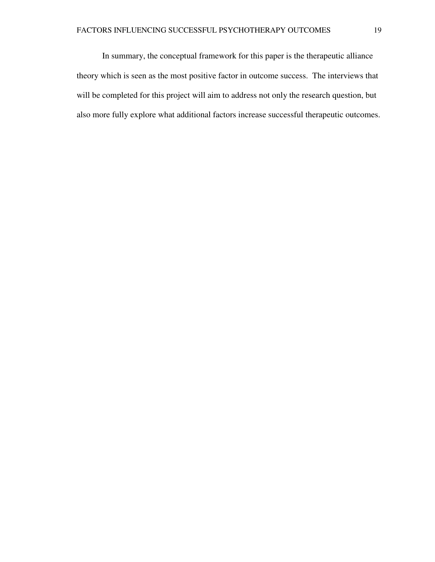In summary, the conceptual framework for this paper is the therapeutic alliance theory which is seen as the most positive factor in outcome success. The interviews that will be completed for this project will aim to address not only the research question, but also more fully explore what additional factors increase successful therapeutic outcomes.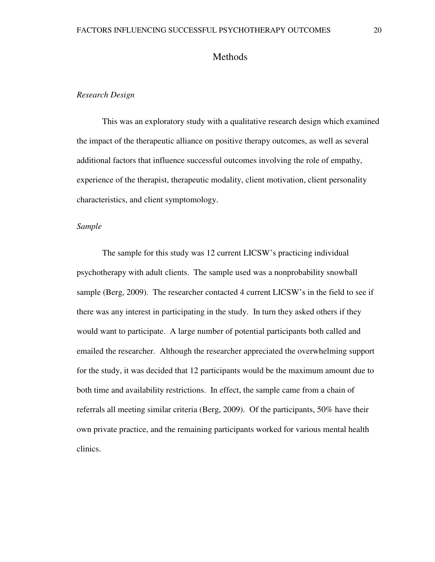## Methods

#### *Research Design*

 This was an exploratory study with a qualitative research design which examined the impact of the therapeutic alliance on positive therapy outcomes, as well as several additional factors that influence successful outcomes involving the role of empathy, experience of the therapist, therapeutic modality, client motivation, client personality characteristics, and client symptomology.

#### *Sample*

 The sample for this study was 12 current LICSW's practicing individual psychotherapy with adult clients. The sample used was a nonprobability snowball sample (Berg, 2009). The researcher contacted 4 current LICSW's in the field to see if there was any interest in participating in the study. In turn they asked others if they would want to participate. A large number of potential participants both called and emailed the researcher. Although the researcher appreciated the overwhelming support for the study, it was decided that 12 participants would be the maximum amount due to both time and availability restrictions. In effect, the sample came from a chain of referrals all meeting similar criteria (Berg, 2009). Of the participants, 50% have their own private practice, and the remaining participants worked for various mental health clinics.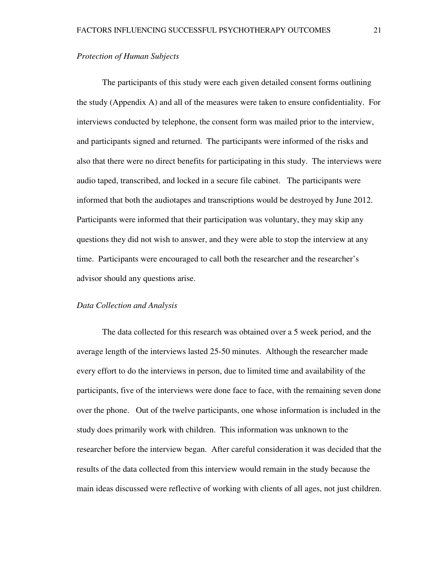## *Protection of Human Subjects*

 The participants of this study were each given detailed consent forms outlining the study (Appendix A) and all of the measures were taken to ensure confidentiality. For interviews conducted by telephone, the consent form was mailed prior to the interview, and participants signed and returned. The participants were informed of the risks and also that there were no direct benefits for participating in this study. The interviews were audio taped, transcribed, and locked in a secure file cabinet. The participants were informed that both the audiotapes and transcriptions would be destroyed by June 2012. Participants were informed that their participation was voluntary, they may skip any questions they did not wish to answer, and they were able to stop the interview at any time. Participants were encouraged to call both the researcher and the researcher's advisor should any questions arise.

#### *Data Collection and Analysis*

 The data collected for this research was obtained over a 5 week period, and the average length of the interviews lasted 25-50 minutes. Although the researcher made every effort to do the interviews in person, due to limited time and availability of the participants, five of the interviews were done face to face, with the remaining seven done over the phone. Out of the twelve participants, one whose information is included in the study does primarily work with children. This information was unknown to the researcher before the interview began. After careful consideration it was decided that the results of the data collected from this interview would remain in the study because the main ideas discussed were reflective of working with clients of all ages, not just children.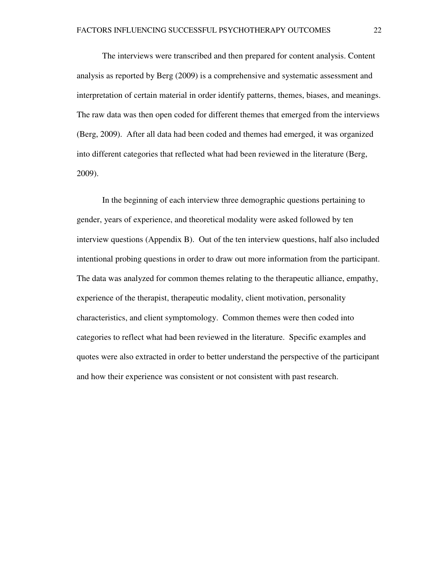The interviews were transcribed and then prepared for content analysis. Content analysis as reported by Berg (2009) is a comprehensive and systematic assessment and interpretation of certain material in order identify patterns, themes, biases, and meanings. The raw data was then open coded for different themes that emerged from the interviews (Berg, 2009). After all data had been coded and themes had emerged, it was organized into different categories that reflected what had been reviewed in the literature (Berg, 2009).

 In the beginning of each interview three demographic questions pertaining to gender, years of experience, and theoretical modality were asked followed by ten interview questions (Appendix B). Out of the ten interview questions, half also included intentional probing questions in order to draw out more information from the participant. The data was analyzed for common themes relating to the therapeutic alliance, empathy, experience of the therapist, therapeutic modality, client motivation, personality characteristics, and client symptomology. Common themes were then coded into categories to reflect what had been reviewed in the literature. Specific examples and quotes were also extracted in order to better understand the perspective of the participant and how their experience was consistent or not consistent with past research.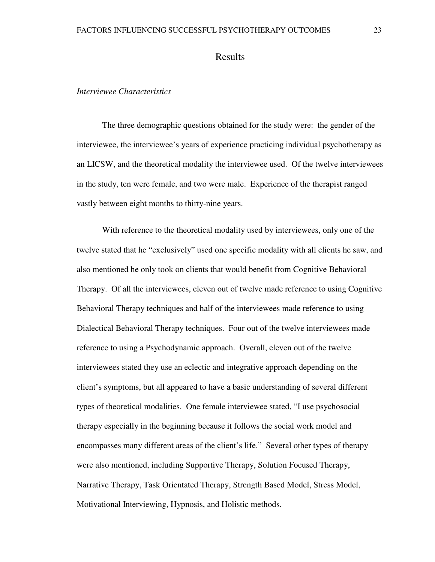### Results

## *Interviewee Characteristics*

 The three demographic questions obtained for the study were: the gender of the interviewee, the interviewee's years of experience practicing individual psychotherapy as an LICSW, and the theoretical modality the interviewee used. Of the twelve interviewees in the study, ten were female, and two were male. Experience of the therapist ranged vastly between eight months to thirty-nine years.

 With reference to the theoretical modality used by interviewees, only one of the twelve stated that he "exclusively" used one specific modality with all clients he saw, and also mentioned he only took on clients that would benefit from Cognitive Behavioral Therapy. Of all the interviewees, eleven out of twelve made reference to using Cognitive Behavioral Therapy techniques and half of the interviewees made reference to using Dialectical Behavioral Therapy techniques. Four out of the twelve interviewees made reference to using a Psychodynamic approach. Overall, eleven out of the twelve interviewees stated they use an eclectic and integrative approach depending on the client's symptoms, but all appeared to have a basic understanding of several different types of theoretical modalities. One female interviewee stated, "I use psychosocial therapy especially in the beginning because it follows the social work model and encompasses many different areas of the client's life." Several other types of therapy were also mentioned, including Supportive Therapy, Solution Focused Therapy, Narrative Therapy, Task Orientated Therapy, Strength Based Model, Stress Model, Motivational Interviewing, Hypnosis, and Holistic methods.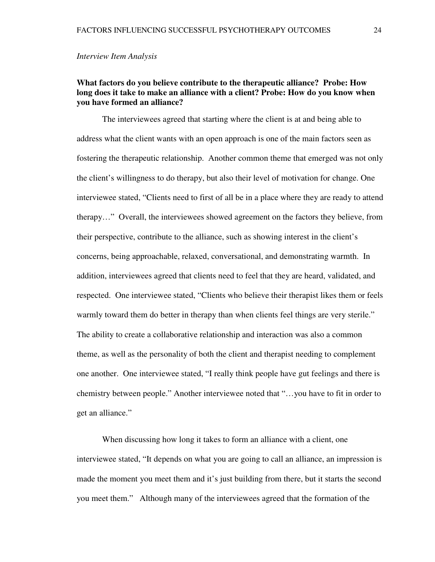*Interview Item Analysis*

## **What factors do you believe contribute to the therapeutic alliance? Probe: How long does it take to make an alliance with a client? Probe: How do you know when you have formed an alliance?**

 The interviewees agreed that starting where the client is at and being able to address what the client wants with an open approach is one of the main factors seen as fostering the therapeutic relationship. Another common theme that emerged was not only the client's willingness to do therapy, but also their level of motivation for change. One interviewee stated, "Clients need to first of all be in a place where they are ready to attend therapy…" Overall, the interviewees showed agreement on the factors they believe, from their perspective, contribute to the alliance, such as showing interest in the client's concerns, being approachable, relaxed, conversational, and demonstrating warmth. In addition, interviewees agreed that clients need to feel that they are heard, validated, and respected. One interviewee stated, "Clients who believe their therapist likes them or feels warmly toward them do better in therapy than when clients feel things are very sterile." The ability to create a collaborative relationship and interaction was also a common theme, as well as the personality of both the client and therapist needing to complement one another. One interviewee stated, "I really think people have gut feelings and there is chemistry between people." Another interviewee noted that "…you have to fit in order to get an alliance."

 When discussing how long it takes to form an alliance with a client, one interviewee stated, "It depends on what you are going to call an alliance, an impression is made the moment you meet them and it's just building from there, but it starts the second you meet them." Although many of the interviewees agreed that the formation of the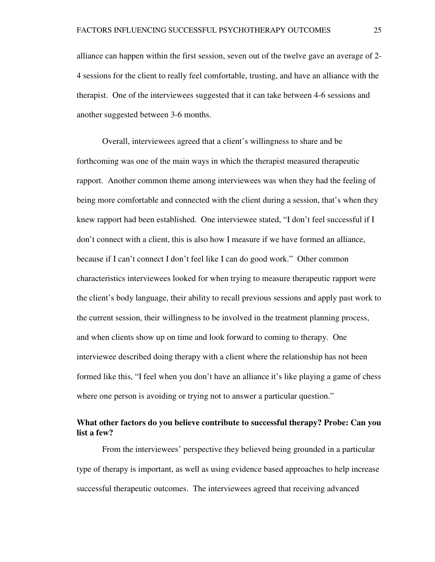alliance can happen within the first session, seven out of the twelve gave an average of 2- 4 sessions for the client to really feel comfortable, trusting, and have an alliance with the therapist. One of the interviewees suggested that it can take between 4-6 sessions and another suggested between 3-6 months.

 Overall, interviewees agreed that a client's willingness to share and be forthcoming was one of the main ways in which the therapist measured therapeutic rapport. Another common theme among interviewees was when they had the feeling of being more comfortable and connected with the client during a session, that's when they knew rapport had been established. One interviewee stated, "I don't feel successful if I don't connect with a client, this is also how I measure if we have formed an alliance, because if I can't connect I don't feel like I can do good work." Other common characteristics interviewees looked for when trying to measure therapeutic rapport were the client's body language, their ability to recall previous sessions and apply past work to the current session, their willingness to be involved in the treatment planning process, and when clients show up on time and look forward to coming to therapy. One interviewee described doing therapy with a client where the relationship has not been formed like this, "I feel when you don't have an alliance it's like playing a game of chess where one person is avoiding or trying not to answer a particular question."

## **What other factors do you believe contribute to successful therapy? Probe: Can you list a few?**

From the interviewees' perspective they believed being grounded in a particular type of therapy is important, as well as using evidence based approaches to help increase successful therapeutic outcomes. The interviewees agreed that receiving advanced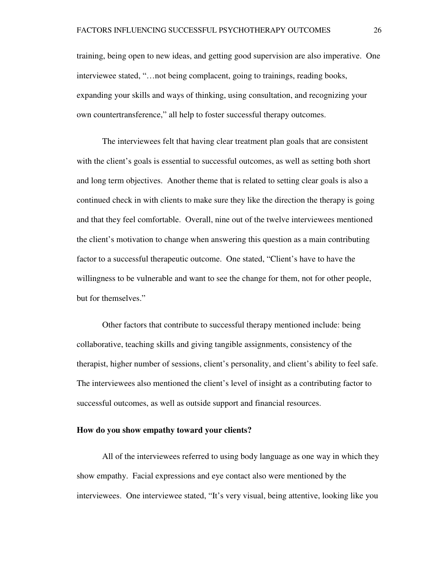training, being open to new ideas, and getting good supervision are also imperative. One interviewee stated, "…not being complacent, going to trainings, reading books, expanding your skills and ways of thinking, using consultation, and recognizing your own countertransference," all help to foster successful therapy outcomes.

 The interviewees felt that having clear treatment plan goals that are consistent with the client's goals is essential to successful outcomes, as well as setting both short and long term objectives. Another theme that is related to setting clear goals is also a continued check in with clients to make sure they like the direction the therapy is going and that they feel comfortable. Overall, nine out of the twelve interviewees mentioned the client's motivation to change when answering this question as a main contributing factor to a successful therapeutic outcome. One stated, "Client's have to have the willingness to be vulnerable and want to see the change for them, not for other people, but for themselves."

 Other factors that contribute to successful therapy mentioned include: being collaborative, teaching skills and giving tangible assignments, consistency of the therapist, higher number of sessions, client's personality, and client's ability to feel safe. The interviewees also mentioned the client's level of insight as a contributing factor to successful outcomes, as well as outside support and financial resources.

#### **How do you show empathy toward your clients?**

 All of the interviewees referred to using body language as one way in which they show empathy. Facial expressions and eye contact also were mentioned by the interviewees. One interviewee stated, "It's very visual, being attentive, looking like you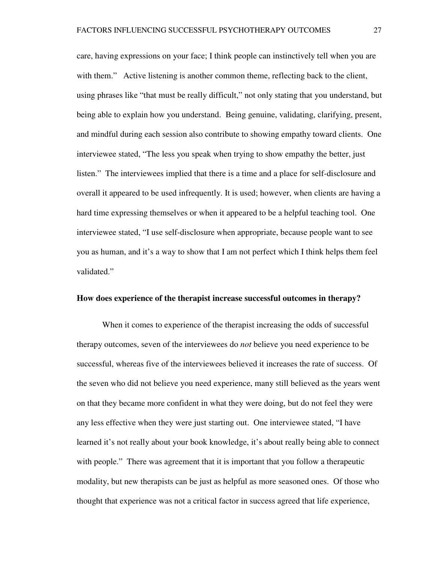care, having expressions on your face; I think people can instinctively tell when you are with them." Active listening is another common theme, reflecting back to the client, using phrases like "that must be really difficult," not only stating that you understand, but being able to explain how you understand. Being genuine, validating, clarifying, present, and mindful during each session also contribute to showing empathy toward clients. One interviewee stated, "The less you speak when trying to show empathy the better, just listen." The interviewees implied that there is a time and a place for self-disclosure and overall it appeared to be used infrequently. It is used; however, when clients are having a hard time expressing themselves or when it appeared to be a helpful teaching tool. One interviewee stated, "I use self-disclosure when appropriate, because people want to see you as human, and it's a way to show that I am not perfect which I think helps them feel validated."

#### **How does experience of the therapist increase successful outcomes in therapy?**

When it comes to experience of the therapist increasing the odds of successful therapy outcomes, seven of the interviewees do *not* believe you need experience to be successful, whereas five of the interviewees believed it increases the rate of success. Of the seven who did not believe you need experience, many still believed as the years went on that they became more confident in what they were doing, but do not feel they were any less effective when they were just starting out. One interviewee stated, "I have learned it's not really about your book knowledge, it's about really being able to connect with people." There was agreement that it is important that you follow a therapeutic modality, but new therapists can be just as helpful as more seasoned ones. Of those who thought that experience was not a critical factor in success agreed that life experience,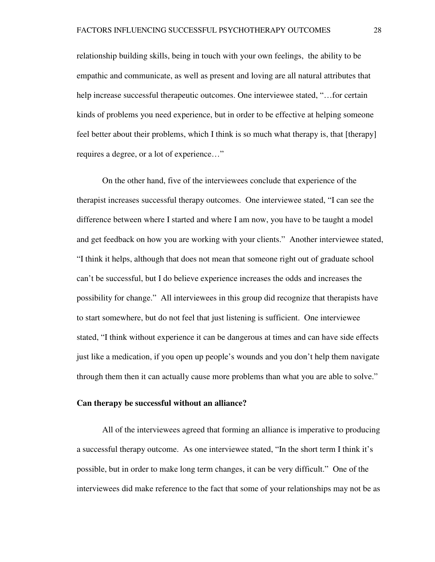relationship building skills, being in touch with your own feelings, the ability to be empathic and communicate, as well as present and loving are all natural attributes that help increase successful therapeutic outcomes. One interviewee stated, "…for certain kinds of problems you need experience, but in order to be effective at helping someone feel better about their problems, which I think is so much what therapy is, that [therapy] requires a degree, or a lot of experience…"

 On the other hand, five of the interviewees conclude that experience of the therapist increases successful therapy outcomes. One interviewee stated, "I can see the difference between where I started and where I am now, you have to be taught a model and get feedback on how you are working with your clients." Another interviewee stated, "I think it helps, although that does not mean that someone right out of graduate school can't be successful, but I do believe experience increases the odds and increases the possibility for change." All interviewees in this group did recognize that therapists have to start somewhere, but do not feel that just listening is sufficient. One interviewee stated, "I think without experience it can be dangerous at times and can have side effects just like a medication, if you open up people's wounds and you don't help them navigate through them then it can actually cause more problems than what you are able to solve."

### **Can therapy be successful without an alliance?**

 All of the interviewees agreed that forming an alliance is imperative to producing a successful therapy outcome. As one interviewee stated, "In the short term I think it's possible, but in order to make long term changes, it can be very difficult." One of the interviewees did make reference to the fact that some of your relationships may not be as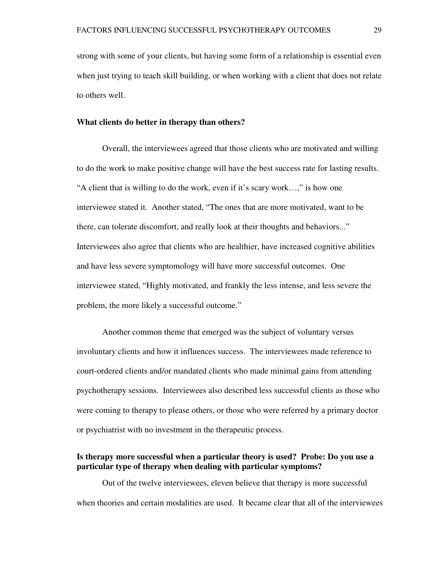strong with some of your clients, but having some form of a relationship is essential even when just trying to teach skill building, or when working with a client that does not relate to others well.

#### **What clients do better in therapy than others?**

Overall, the interviewees agreed that those clients who are motivated and willing to do the work to make positive change will have the best success rate for lasting results. "A client that is willing to do the work, even if it's scary work…," is how one interviewee stated it. Another stated, "The ones that are more motivated, want to be there, can tolerate discomfort, and really look at their thoughts and behaviors..." Interviewees also agree that clients who are healthier, have increased cognitive abilities and have less severe symptomology will have more successful outcomes. One interviewee stated, "Highly motivated, and frankly the less intense, and less severe the problem, the more likely a successful outcome."

 Another common theme that emerged was the subject of voluntary versus involuntary clients and how it influences success. The interviewees made reference to court-ordered clients and/or mandated clients who made minimal gains from attending psychotherapy sessions. Interviewees also described less successful clients as those who were coming to therapy to please others, or those who were referred by a primary doctor or psychiatrist with no investment in the therapeutic process.

## **Is therapy more successful when a particular theory is used? Probe: Do you use a particular type of therapy when dealing with particular symptoms?**

Out of the twelve interviewees, eleven believe that therapy is more successful when theories and certain modalities are used. It became clear that all of the interviewees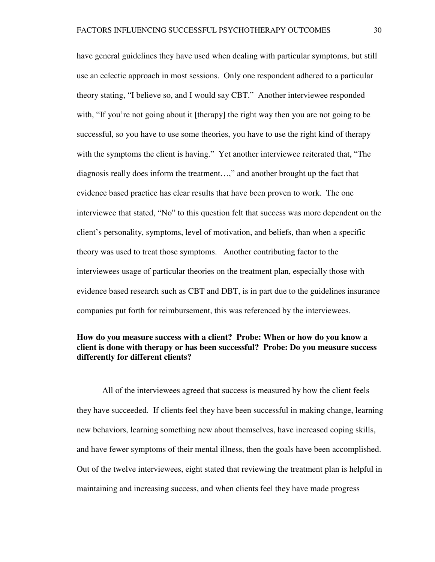have general guidelines they have used when dealing with particular symptoms, but still use an eclectic approach in most sessions. Only one respondent adhered to a particular theory stating, "I believe so, and I would say CBT." Another interviewee responded with, "If you're not going about it [therapy] the right way then you are not going to be successful, so you have to use some theories, you have to use the right kind of therapy with the symptoms the client is having." Yet another interviewee reiterated that, "The diagnosis really does inform the treatment…," and another brought up the fact that evidence based practice has clear results that have been proven to work. The one interviewee that stated, "No" to this question felt that success was more dependent on the client's personality, symptoms, level of motivation, and beliefs, than when a specific theory was used to treat those symptoms. Another contributing factor to the interviewees usage of particular theories on the treatment plan, especially those with evidence based research such as CBT and DBT, is in part due to the guidelines insurance companies put forth for reimbursement, this was referenced by the interviewees.

## **How do you measure success with a client? Probe: When or how do you know a client is done with therapy or has been successful? Probe: Do you measure success differently for different clients?**

All of the interviewees agreed that success is measured by how the client feels they have succeeded. If clients feel they have been successful in making change, learning new behaviors, learning something new about themselves, have increased coping skills, and have fewer symptoms of their mental illness, then the goals have been accomplished. Out of the twelve interviewees, eight stated that reviewing the treatment plan is helpful in maintaining and increasing success, and when clients feel they have made progress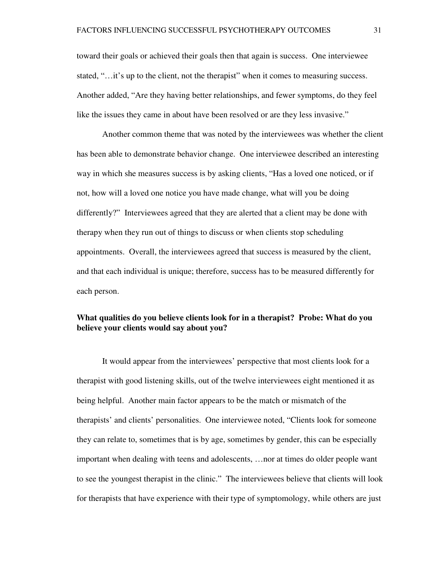toward their goals or achieved their goals then that again is success. One interviewee stated, "...it's up to the client, not the therapist" when it comes to measuring success. Another added, "Are they having better relationships, and fewer symptoms, do they feel like the issues they came in about have been resolved or are they less invasive."

 Another common theme that was noted by the interviewees was whether the client has been able to demonstrate behavior change. One interviewee described an interesting way in which she measures success is by asking clients, "Has a loved one noticed, or if not, how will a loved one notice you have made change, what will you be doing differently?" Interviewees agreed that they are alerted that a client may be done with therapy when they run out of things to discuss or when clients stop scheduling appointments. Overall, the interviewees agreed that success is measured by the client, and that each individual is unique; therefore, success has to be measured differently for each person.

## **What qualities do you believe clients look for in a therapist? Probe: What do you believe your clients would say about you?**

 It would appear from the interviewees' perspective that most clients look for a therapist with good listening skills, out of the twelve interviewees eight mentioned it as being helpful. Another main factor appears to be the match or mismatch of the therapists' and clients' personalities. One interviewee noted, "Clients look for someone they can relate to, sometimes that is by age, sometimes by gender, this can be especially important when dealing with teens and adolescents, …nor at times do older people want to see the youngest therapist in the clinic." The interviewees believe that clients will look for therapists that have experience with their type of symptomology, while others are just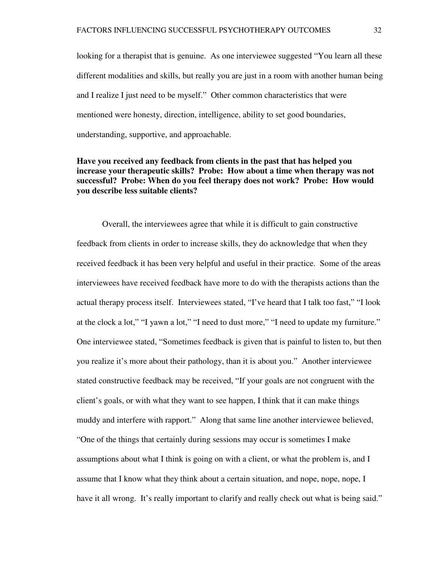looking for a therapist that is genuine. As one interviewee suggested "You learn all these different modalities and skills, but really you are just in a room with another human being and I realize I just need to be myself." Other common characteristics that were mentioned were honesty, direction, intelligence, ability to set good boundaries, understanding, supportive, and approachable.

## **Have you received any feedback from clients in the past that has helped you increase your therapeutic skills? Probe: How about a time when therapy was not successful? Probe: When do you feel therapy does not work? Probe: How would you describe less suitable clients?**

Overall, the interviewees agree that while it is difficult to gain constructive feedback from clients in order to increase skills, they do acknowledge that when they received feedback it has been very helpful and useful in their practice. Some of the areas interviewees have received feedback have more to do with the therapists actions than the actual therapy process itself. Interviewees stated, "I've heard that I talk too fast," "I look at the clock a lot," "I yawn a lot," "I need to dust more," "I need to update my furniture." One interviewee stated, "Sometimes feedback is given that is painful to listen to, but then you realize it's more about their pathology, than it is about you." Another interviewee stated constructive feedback may be received, "If your goals are not congruent with the client's goals, or with what they want to see happen, I think that it can make things muddy and interfere with rapport." Along that same line another interviewee believed, "One of the things that certainly during sessions may occur is sometimes I make assumptions about what I think is going on with a client, or what the problem is, and I assume that I know what they think about a certain situation, and nope, nope, nope, I have it all wrong. It's really important to clarify and really check out what is being said."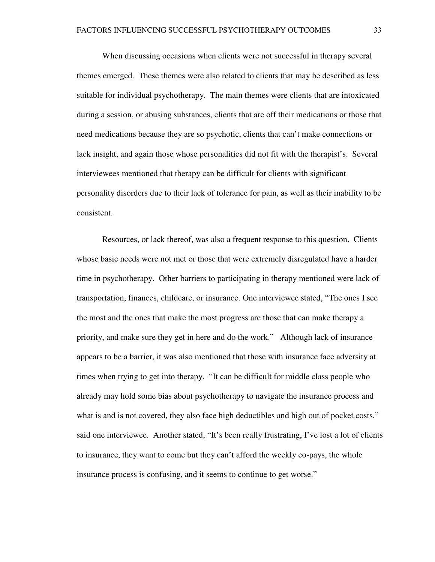When discussing occasions when clients were not successful in therapy several themes emerged. These themes were also related to clients that may be described as less suitable for individual psychotherapy. The main themes were clients that are intoxicated during a session, or abusing substances, clients that are off their medications or those that need medications because they are so psychotic, clients that can't make connections or lack insight, and again those whose personalities did not fit with the therapist's. Several interviewees mentioned that therapy can be difficult for clients with significant personality disorders due to their lack of tolerance for pain, as well as their inability to be consistent.

 Resources, or lack thereof, was also a frequent response to this question. Clients whose basic needs were not met or those that were extremely disregulated have a harder time in psychotherapy. Other barriers to participating in therapy mentioned were lack of transportation, finances, childcare, or insurance. One interviewee stated, "The ones I see the most and the ones that make the most progress are those that can make therapy a priority, and make sure they get in here and do the work." Although lack of insurance appears to be a barrier, it was also mentioned that those with insurance face adversity at times when trying to get into therapy. "It can be difficult for middle class people who already may hold some bias about psychotherapy to navigate the insurance process and what is and is not covered, they also face high deductibles and high out of pocket costs," said one interviewee. Another stated, "It's been really frustrating, I've lost a lot of clients to insurance, they want to come but they can't afford the weekly co-pays, the whole insurance process is confusing, and it seems to continue to get worse."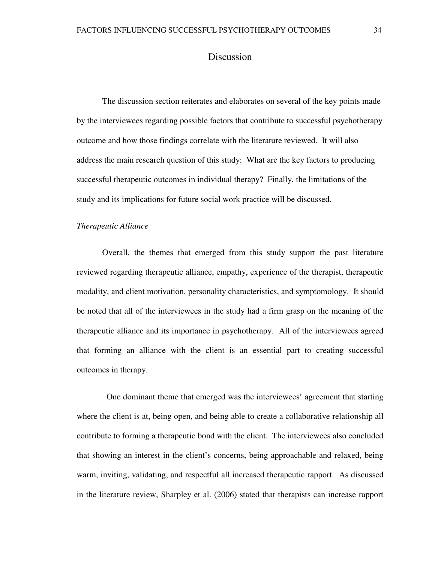## Discussion

 The discussion section reiterates and elaborates on several of the key points made by the interviewees regarding possible factors that contribute to successful psychotherapy outcome and how those findings correlate with the literature reviewed. It will also address the main research question of this study: What are the key factors to producing successful therapeutic outcomes in individual therapy? Finally, the limitations of the study and its implications for future social work practice will be discussed.

#### *Therapeutic Alliance*

 Overall, the themes that emerged from this study support the past literature reviewed regarding therapeutic alliance, empathy, experience of the therapist, therapeutic modality, and client motivation, personality characteristics, and symptomology. It should be noted that all of the interviewees in the study had a firm grasp on the meaning of the therapeutic alliance and its importance in psychotherapy. All of the interviewees agreed that forming an alliance with the client is an essential part to creating successful outcomes in therapy.

 One dominant theme that emerged was the interviewees' agreement that starting where the client is at, being open, and being able to create a collaborative relationship all contribute to forming a therapeutic bond with the client. The interviewees also concluded that showing an interest in the client's concerns, being approachable and relaxed, being warm, inviting, validating, and respectful all increased therapeutic rapport. As discussed in the literature review, Sharpley et al. (2006) stated that therapists can increase rapport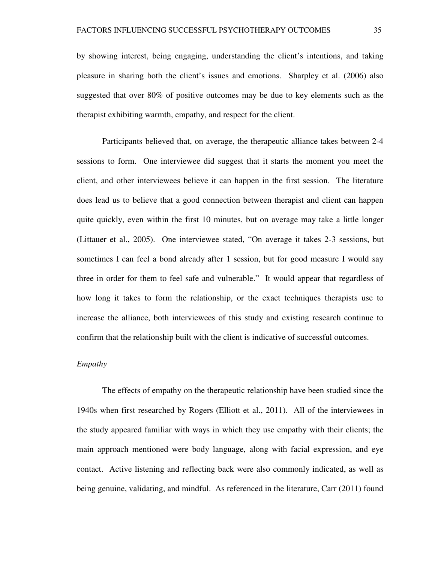by showing interest, being engaging, understanding the client's intentions, and taking pleasure in sharing both the client's issues and emotions. Sharpley et al. (2006) also suggested that over 80% of positive outcomes may be due to key elements such as the therapist exhibiting warmth, empathy, and respect for the client.

 Participants believed that, on average, the therapeutic alliance takes between 2-4 sessions to form. One interviewee did suggest that it starts the moment you meet the client, and other interviewees believe it can happen in the first session. The literature does lead us to believe that a good connection between therapist and client can happen quite quickly, even within the first 10 minutes, but on average may take a little longer (Littauer et al., 2005). One interviewee stated, "On average it takes 2-3 sessions, but sometimes I can feel a bond already after 1 session, but for good measure I would say three in order for them to feel safe and vulnerable." It would appear that regardless of how long it takes to form the relationship, or the exact techniques therapists use to increase the alliance, both interviewees of this study and existing research continue to confirm that the relationship built with the client is indicative of successful outcomes.

## *Empathy*

 The effects of empathy on the therapeutic relationship have been studied since the 1940s when first researched by Rogers (Elliott et al., 2011). All of the interviewees in the study appeared familiar with ways in which they use empathy with their clients; the main approach mentioned were body language, along with facial expression, and eye contact. Active listening and reflecting back were also commonly indicated, as well as being genuine, validating, and mindful. As referenced in the literature, Carr (2011) found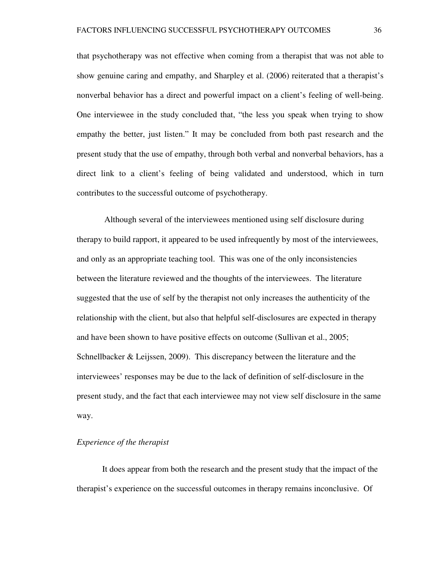that psychotherapy was not effective when coming from a therapist that was not able to show genuine caring and empathy, and Sharpley et al. (2006) reiterated that a therapist's nonverbal behavior has a direct and powerful impact on a client's feeling of well-being. One interviewee in the study concluded that, "the less you speak when trying to show empathy the better, just listen." It may be concluded from both past research and the present study that the use of empathy, through both verbal and nonverbal behaviors, has a direct link to a client's feeling of being validated and understood, which in turn contributes to the successful outcome of psychotherapy.

 Although several of the interviewees mentioned using self disclosure during therapy to build rapport, it appeared to be used infrequently by most of the interviewees, and only as an appropriate teaching tool. This was one of the only inconsistencies between the literature reviewed and the thoughts of the interviewees. The literature suggested that the use of self by the therapist not only increases the authenticity of the relationship with the client, but also that helpful self-disclosures are expected in therapy and have been shown to have positive effects on outcome (Sullivan et al., 2005; Schnellbacker & Leijssen, 2009). This discrepancy between the literature and the interviewees' responses may be due to the lack of definition of self-disclosure in the present study, and the fact that each interviewee may not view self disclosure in the same way.

## *Experience of the therapist*

 It does appear from both the research and the present study that the impact of the therapist's experience on the successful outcomes in therapy remains inconclusive. Of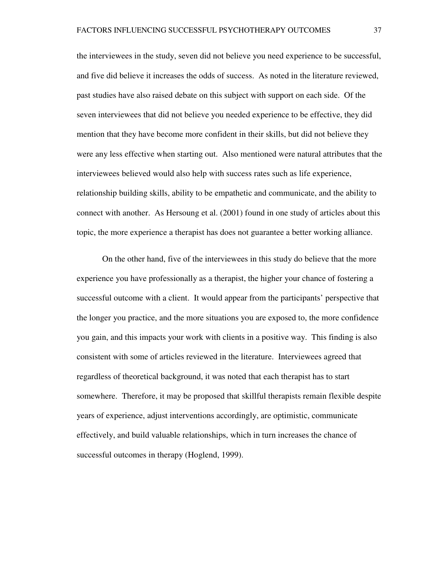the interviewees in the study, seven did not believe you need experience to be successful, and five did believe it increases the odds of success. As noted in the literature reviewed, past studies have also raised debate on this subject with support on each side. Of the seven interviewees that did not believe you needed experience to be effective, they did mention that they have become more confident in their skills, but did not believe they were any less effective when starting out. Also mentioned were natural attributes that the interviewees believed would also help with success rates such as life experience, relationship building skills, ability to be empathetic and communicate, and the ability to connect with another. As Hersoung et al. (2001) found in one study of articles about this topic, the more experience a therapist has does not guarantee a better working alliance.

 On the other hand, five of the interviewees in this study do believe that the more experience you have professionally as a therapist, the higher your chance of fostering a successful outcome with a client. It would appear from the participants' perspective that the longer you practice, and the more situations you are exposed to, the more confidence you gain, and this impacts your work with clients in a positive way. This finding is also consistent with some of articles reviewed in the literature. Interviewees agreed that regardless of theoretical background, it was noted that each therapist has to start somewhere. Therefore, it may be proposed that skillful therapists remain flexible despite years of experience, adjust interventions accordingly, are optimistic, communicate effectively, and build valuable relationships, which in turn increases the chance of successful outcomes in therapy (Hoglend, 1999).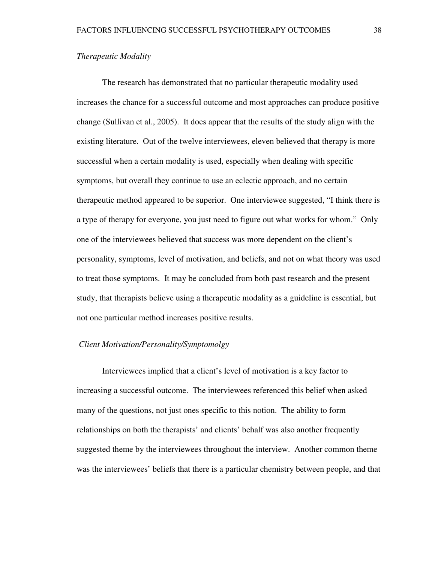## *Therapeutic Modality*

 The research has demonstrated that no particular therapeutic modality used increases the chance for a successful outcome and most approaches can produce positive change (Sullivan et al., 2005). It does appear that the results of the study align with the existing literature. Out of the twelve interviewees, eleven believed that therapy is more successful when a certain modality is used, especially when dealing with specific symptoms, but overall they continue to use an eclectic approach, and no certain therapeutic method appeared to be superior. One interviewee suggested, "I think there is a type of therapy for everyone, you just need to figure out what works for whom." Only one of the interviewees believed that success was more dependent on the client's personality, symptoms, level of motivation, and beliefs, and not on what theory was used to treat those symptoms. It may be concluded from both past research and the present study, that therapists believe using a therapeutic modality as a guideline is essential, but not one particular method increases positive results.

## *Client Motivation/Personality/Symptomolgy*

 Interviewees implied that a client's level of motivation is a key factor to increasing a successful outcome. The interviewees referenced this belief when asked many of the questions, not just ones specific to this notion. The ability to form relationships on both the therapists' and clients' behalf was also another frequently suggested theme by the interviewees throughout the interview. Another common theme was the interviewees' beliefs that there is a particular chemistry between people, and that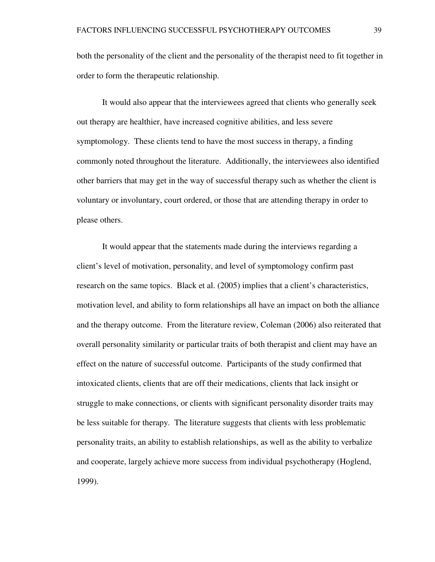both the personality of the client and the personality of the therapist need to fit together in order to form the therapeutic relationship.

 It would also appear that the interviewees agreed that clients who generally seek out therapy are healthier, have increased cognitive abilities, and less severe symptomology. These clients tend to have the most success in therapy, a finding commonly noted throughout the literature. Additionally, the interviewees also identified other barriers that may get in the way of successful therapy such as whether the client is voluntary or involuntary, court ordered, or those that are attending therapy in order to please others.

 It would appear that the statements made during the interviews regarding a client's level of motivation, personality, and level of symptomology confirm past research on the same topics. Black et al. (2005) implies that a client's characteristics, motivation level, and ability to form relationships all have an impact on both the alliance and the therapy outcome. From the literature review, Coleman (2006) also reiterated that overall personality similarity or particular traits of both therapist and client may have an effect on the nature of successful outcome. Participants of the study confirmed that intoxicated clients, clients that are off their medications, clients that lack insight or struggle to make connections, or clients with significant personality disorder traits may be less suitable for therapy. The literature suggests that clients with less problematic personality traits, an ability to establish relationships, as well as the ability to verbalize and cooperate, largely achieve more success from individual psychotherapy (Hoglend, 1999).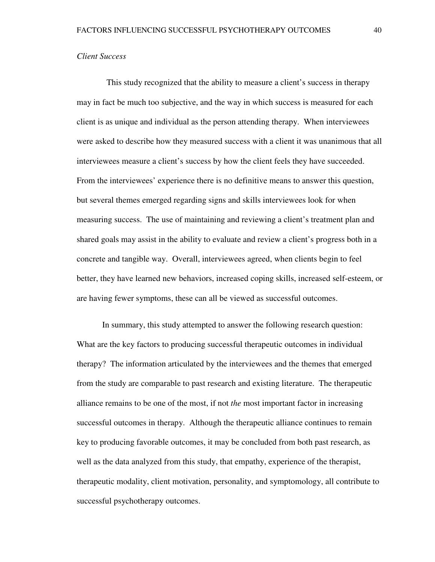## *Client Success*

This study recognized that the ability to measure a client's success in therapy may in fact be much too subjective, and the way in which success is measured for each client is as unique and individual as the person attending therapy. When interviewees were asked to describe how they measured success with a client it was unanimous that all interviewees measure a client's success by how the client feels they have succeeded. From the interviewees' experience there is no definitive means to answer this question, but several themes emerged regarding signs and skills interviewees look for when measuring success. The use of maintaining and reviewing a client's treatment plan and shared goals may assist in the ability to evaluate and review a client's progress both in a concrete and tangible way. Overall, interviewees agreed, when clients begin to feel better, they have learned new behaviors, increased coping skills, increased self-esteem, or are having fewer symptoms, these can all be viewed as successful outcomes.

 In summary, this study attempted to answer the following research question: What are the key factors to producing successful therapeutic outcomes in individual therapy? The information articulated by the interviewees and the themes that emerged from the study are comparable to past research and existing literature. The therapeutic alliance remains to be one of the most, if not *the* most important factor in increasing successful outcomes in therapy. Although the therapeutic alliance continues to remain key to producing favorable outcomes, it may be concluded from both past research, as well as the data analyzed from this study, that empathy, experience of the therapist, therapeutic modality, client motivation, personality, and symptomology, all contribute to successful psychotherapy outcomes.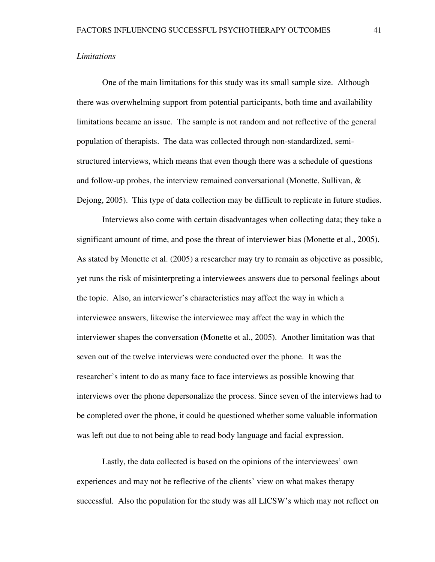## *Limitations*

 One of the main limitations for this study was its small sample size. Although there was overwhelming support from potential participants, both time and availability limitations became an issue. The sample is not random and not reflective of the general population of therapists. The data was collected through non-standardized, semistructured interviews, which means that even though there was a schedule of questions and follow-up probes, the interview remained conversational (Monette, Sullivan, & Dejong, 2005). This type of data collection may be difficult to replicate in future studies.

 Interviews also come with certain disadvantages when collecting data; they take a significant amount of time, and pose the threat of interviewer bias (Monette et al., 2005). As stated by Monette et al. (2005) a researcher may try to remain as objective as possible, yet runs the risk of misinterpreting a interviewees answers due to personal feelings about the topic. Also, an interviewer's characteristics may affect the way in which a interviewee answers, likewise the interviewee may affect the way in which the interviewer shapes the conversation (Monette et al., 2005). Another limitation was that seven out of the twelve interviews were conducted over the phone. It was the researcher's intent to do as many face to face interviews as possible knowing that interviews over the phone depersonalize the process. Since seven of the interviews had to be completed over the phone, it could be questioned whether some valuable information was left out due to not being able to read body language and facial expression.

 Lastly, the data collected is based on the opinions of the interviewees' own experiences and may not be reflective of the clients' view on what makes therapy successful. Also the population for the study was all LICSW's which may not reflect on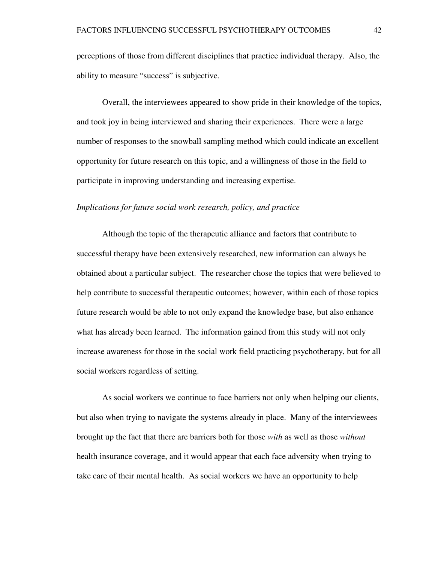perceptions of those from different disciplines that practice individual therapy. Also, the ability to measure "success" is subjective.

 Overall, the interviewees appeared to show pride in their knowledge of the topics, and took joy in being interviewed and sharing their experiences. There were a large number of responses to the snowball sampling method which could indicate an excellent opportunity for future research on this topic, and a willingness of those in the field to participate in improving understanding and increasing expertise.

## *Implications for future social work research, policy, and practice*

 Although the topic of the therapeutic alliance and factors that contribute to successful therapy have been extensively researched, new information can always be obtained about a particular subject. The researcher chose the topics that were believed to help contribute to successful therapeutic outcomes; however, within each of those topics future research would be able to not only expand the knowledge base, but also enhance what has already been learned. The information gained from this study will not only increase awareness for those in the social work field practicing psychotherapy, but for all social workers regardless of setting.

 As social workers we continue to face barriers not only when helping our clients, but also when trying to navigate the systems already in place. Many of the interviewees brought up the fact that there are barriers both for those *with* as well as those *without* health insurance coverage, and it would appear that each face adversity when trying to take care of their mental health. As social workers we have an opportunity to help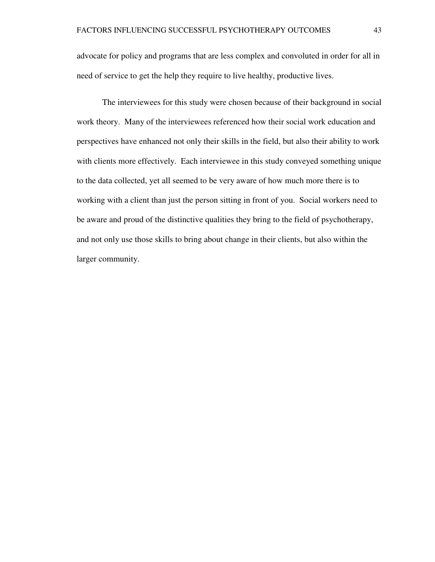advocate for policy and programs that are less complex and convoluted in order for all in need of service to get the help they require to live healthy, productive lives.

 The interviewees for this study were chosen because of their background in social work theory. Many of the interviewees referenced how their social work education and perspectives have enhanced not only their skills in the field, but also their ability to work with clients more effectively. Each interviewee in this study conveyed something unique to the data collected, yet all seemed to be very aware of how much more there is to working with a client than just the person sitting in front of you. Social workers need to be aware and proud of the distinctive qualities they bring to the field of psychotherapy, and not only use those skills to bring about change in their clients, but also within the larger community.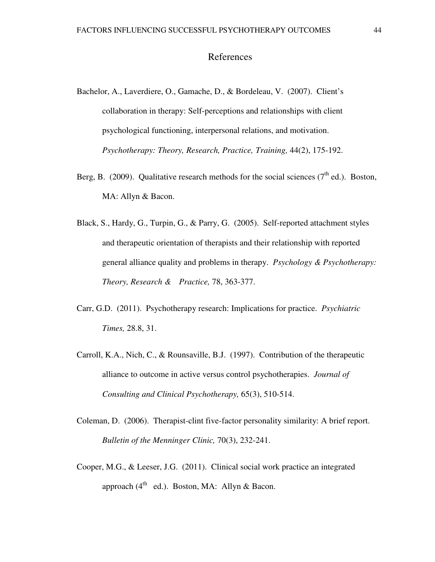## References

- Bachelor, A., Laverdiere, O., Gamache, D., & Bordeleau, V. (2007). Client's collaboration in therapy: Self-perceptions and relationships with client psychological functioning, interpersonal relations, and motivation. *Psychotherapy: Theory, Research, Practice, Training,* 44(2), 175-192.
- Berg, B. (2009). Qualitative research methods for the social sciences ( $7<sup>th</sup>$  ed.). Boston, MA: Allyn & Bacon.
- Black, S., Hardy, G., Turpin, G., & Parry, G. (2005). Self-reported attachment styles and therapeutic orientation of therapists and their relationship with reported general alliance quality and problems in therapy. *Psychology & Psychotherapy: Theory, Research & Practice,* 78, 363-377.
- Carr, G.D. (2011). Psychotherapy research: Implications for practice. *Psychiatric Times,* 28.8, 31.
- Carroll, K.A., Nich, C., & Rounsaville, B.J. (1997). Contribution of the therapeutic alliance to outcome in active versus control psychotherapies. *Journal of Consulting and Clinical Psychotherapy,* 65(3), 510-514.
- Coleman, D. (2006). Therapist-clint five-factor personality similarity: A brief report. *Bulletin of the Menninger Clinic,* 70(3), 232-241.
- Cooper, M.G., & Leeser, J.G. (2011). Clinical social work practice an integrated approach  $(4^{th}$  ed.). Boston, MA: Allyn & Bacon.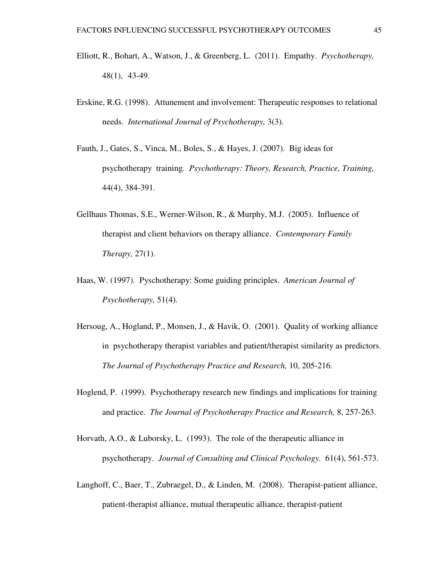- Elliott, R., Bohart, A., Watson, J., & Greenberg, L. (2011). Empathy. *Psychotherapy,*  48(1), 43-49.
- Erskine, R.G. (1998). Attunement and involvement: Therapeutic responses to relational needs. *International Journal of Psychotherapy,* 3(3).
- Fauth, J., Gates, S., Vinca, M., Boles, S., & Hayes, J. (2007). Big ideas for psychotherapy training. *Psychotherapy: Theory, Research, Practice, Training,*  44(4), 384-391.
- Gellhaus Thomas, S.E., Werner-Wilson, R., & Murphy, M.J. (2005). Influence of therapist and client behaviors on therapy alliance. *Contemporary Family Therapy,* 27(1).
- Haas, W. (1997). Pyschotherapy: Some guiding principles. *American Journal of Psychotherapy,* 51(4).
- Hersoug, A., Hogland, P., Monsen, J., & Havik, O. (2001). Quality of working alliance in psychotherapy therapist variables and patient/therapist similarity as predictors. *The Journal of Psychotherapy Practice and Research,* 10, 205-216.
- Hoglend, P. (1999). Psychotherapy research new findings and implications for training and practice. *The Journal of Psychotherapy Practice and Research,* 8, 257-263.
- Horvath, A.O., & Luborsky, L. (1993). The role of the therapeutic alliance in psychotherapy. *Journal of Consulting and Clinical Psychology.* 61(4), 561-573.
- Langhoff, C., Baer, T., Zubraegel, D., & Linden, M. (2008). Therapist-patient alliance, patient-therapist alliance, mutual therapeutic alliance, therapist-patient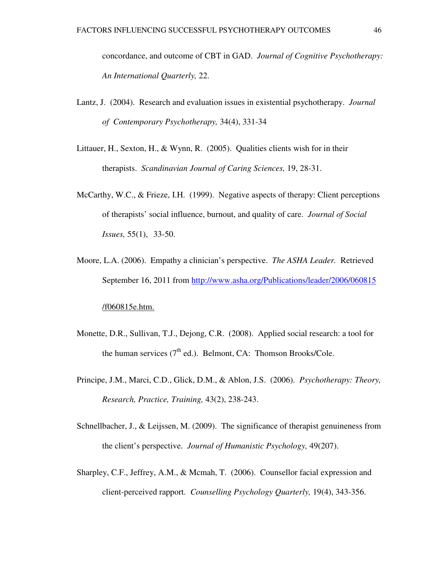concordance, and outcome of CBT in GAD. *Journal of Cognitive Psychotherapy: An International Quarterly,* 22.

- Lantz, J. (2004). Research and evaluation issues in existential psychotherapy. *Journal of Contemporary Psychotherapy,* 34(4), 331-34
- Littauer, H., Sexton, H., & Wynn, R. (2005). Qualities clients wish for in their therapists. *Scandinavian Journal of Caring Sciences,* 19, 28-31.
- McCarthy, W.C., & Frieze, I.H. (1999). Negative aspects of therapy: Client perceptions of therapists' social influence, burnout, and quality of care. *Journal of Social Issues,* 55(1), 33-50.
- Moore, L.A. (2006). Empathy a clinician's perspective. *The ASHA Leader.* Retrieved September 16, 2011 from http://www.asha.org/Publications/leader/2006/060815 /f060815e.htm.
- Monette, D.R., Sullivan, T.J., Dejong, C.R. (2008). Applied social research: a tool for the human services  $(7<sup>th</sup>$  ed.). Belmont, CA: Thomson Brooks/Cole.
- Principe, J.M., Marci, C.D., Glick, D.M., & Ablon, J.S. (2006). *Psychotherapy: Theory, Research, Practice, Training,* 43(2), 238-243.
- Schnellbacher, J., & Leijssen, M. (2009). The significance of therapist genuineness from the client's perspective. *Journal of Humanistic Psychology,* 49(207).
- Sharpley, C.F., Jeffrey, A.M., & Mcmah, T. (2006). Counsellor facial expression and client-perceived rapport. *Counselling Psychology Quarterly,* 19(4), 343-356.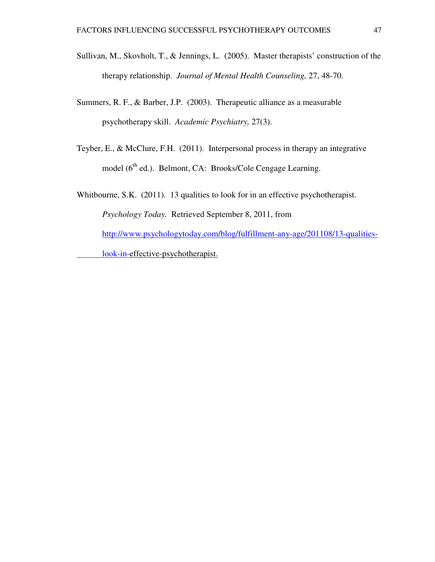- Sullivan, M., Skovholt, T., & Jennings, L. (2005). Master therapists' construction of the therapy relationship. *Journal of Mental Health Counseling,* 27, 48-70.
- Summers, R. F., & Barber, J.P. (2003). Therapeutic alliance as a measurable psychotherapy skill. *Academic Psychiatry,* 27(3).
- Teyber, E., & McClure, F.H. (2011). Interpersonal process in therapy an integrative model (6<sup>th</sup> ed.). Belmont, CA: Brooks/Cole Cengage Learning.
- Whitbourne, S.K. (2011). 13 qualities to look for in an effective psychotherapist. *Psychology Today.* Retrieved September 8, 2011, from http://www.psychologytoday.com/blog/fulfillment-any-age/201108/13-qualities look-in-effective-psychotherapist.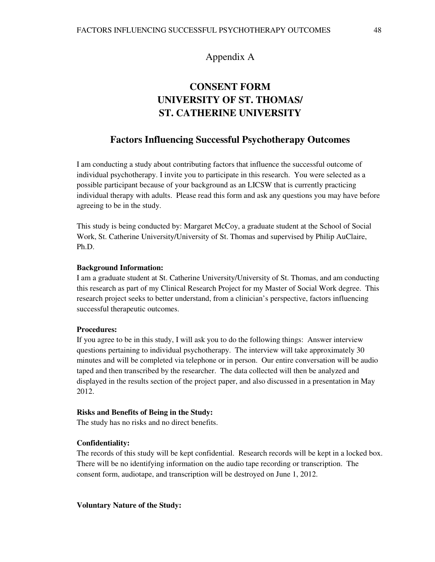## Appendix A

# **CONSENT FORM UNIVERSITY OF ST. THOMAS/ ST. CATHERINE UNIVERSITY**

## **Factors Influencing Successful Psychotherapy Outcomes**

I am conducting a study about contributing factors that influence the successful outcome of individual psychotherapy. I invite you to participate in this research. You were selected as a possible participant because of your background as an LICSW that is currently practicing individual therapy with adults. Please read this form and ask any questions you may have before agreeing to be in the study.

This study is being conducted by: Margaret McCoy, a graduate student at the School of Social Work, St. Catherine University/University of St. Thomas and supervised by Philip AuClaire, Ph.D.

#### **Background Information:**

I am a graduate student at St. Catherine University/University of St. Thomas, and am conducting this research as part of my Clinical Research Project for my Master of Social Work degree. This research project seeks to better understand, from a clinician's perspective, factors influencing successful therapeutic outcomes.

#### **Procedures:**

If you agree to be in this study, I will ask you to do the following things: Answer interview questions pertaining to individual psychotherapy. The interview will take approximately 30 minutes and will be completed via telephone or in person. Our entire conversation will be audio taped and then transcribed by the researcher. The data collected will then be analyzed and displayed in the results section of the project paper, and also discussed in a presentation in May 2012.

#### **Risks and Benefits of Being in the Study:**

The study has no risks and no direct benefits.

#### **Confidentiality:**

The records of this study will be kept confidential. Research records will be kept in a locked box. There will be no identifying information on the audio tape recording or transcription. The consent form, audiotape, and transcription will be destroyed on June 1, 2012.

#### **Voluntary Nature of the Study:**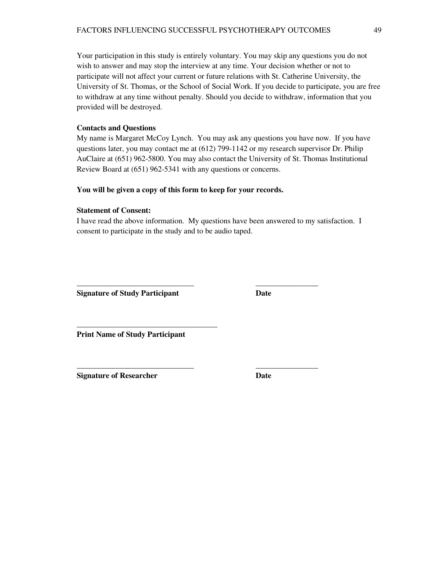Your participation in this study is entirely voluntary. You may skip any questions you do not wish to answer and may stop the interview at any time. Your decision whether or not to participate will not affect your current or future relations with St. Catherine University, the University of St. Thomas, or the School of Social Work. If you decide to participate, you are free to withdraw at any time without penalty. Should you decide to withdraw, information that you provided will be destroyed.

## **Contacts and Questions**

My name is Margaret McCoy Lynch. You may ask any questions you have now. If you have questions later, you may contact me at (612) 799-1142 or my research supervisor Dr. Philip AuClaire at (651) 962-5800. You may also contact the University of St. Thomas Institutional Review Board at (651) 962-5341 with any questions or concerns.

## **You will be given a copy of this form to keep for your records.**

## **Statement of Consent:**

I have read the above information. My questions have been answered to my satisfaction. I consent to participate in the study and to be audio taped.

\_\_\_\_\_\_\_\_\_\_\_\_\_\_\_\_\_\_\_\_\_\_\_\_\_\_\_\_\_\_ \_\_\_\_\_\_\_\_\_\_\_\_\_\_\_\_

\_\_\_\_\_\_\_\_\_\_\_\_\_\_\_\_\_\_\_\_\_\_\_\_\_\_\_\_\_\_ \_\_\_\_\_\_\_\_\_\_\_\_\_\_\_\_

**Signature of Study Participant Date Date** 

**Print Name of Study Participant** 

\_\_\_\_\_\_\_\_\_\_\_\_\_\_\_\_\_\_\_\_\_\_\_\_\_\_\_\_\_\_\_\_\_\_\_\_

**Signature of Researcher Date Date**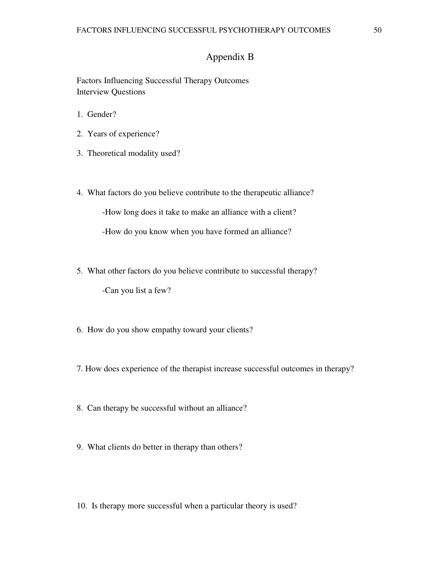# Appendix B

Factors Influencing Successful Therapy Outcomes Interview Questions

- 1. Gender?
- 2. Years of experience?
- 3. Theoretical modality used?
- 4. What factors do you believe contribute to the therapeutic alliance?

-How long does it take to make an alliance with a client?

-How do you know when you have formed an alliance?

- 5. What other factors do you believe contribute to successful therapy? -Can you list a few?
- 6. How do you show empathy toward your clients?
- 7. How does experience of the therapist increase successful outcomes in therapy?
- 8. Can therapy be successful without an alliance?
- 9. What clients do better in therapy than others?
- 10. Is therapy more successful when a particular theory is used?